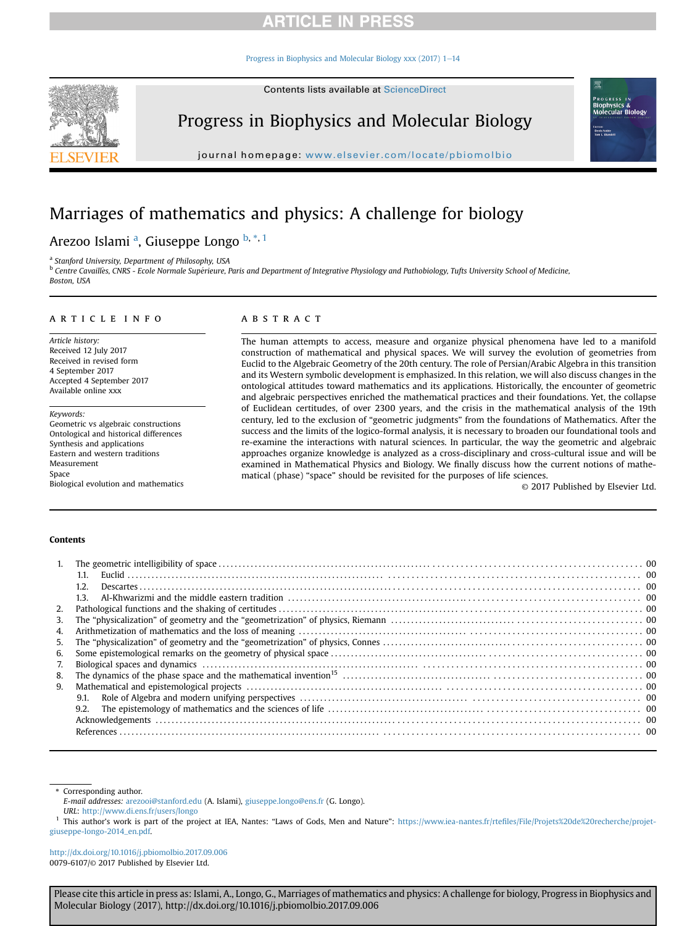[Progress in Biophysics and Molecular Biology xxx \(2017\) 1](https://doi.org/10.1016/j.pbiomolbio.2017.09.006)-[14](https://doi.org/10.1016/j.pbiomolbio.2017.09.006)



Progress in Biophysics and Molecular Biology

journal homepage: [www.elsevier.com/locate/pbiomolbio](http://www.elsevier.com/locate/pbiomolbio)

# Marriages of mathematics and physics: A challenge for biology

# Arezoo Islami <sup>a</sup>, Giuseppe Longo <sup>b, \*, 1</sup>

a Stanford University, Department of Philosophy, USA

<sup>b</sup> Centre Cavaillès, CNRS - Ecole Normale Supérieure, Paris and Department of Integrative Physiology and Pathobiology, Tufts University School of Medicine, Boston, USA

### article info

Article history: Received 12 July 2017 Received in revised form 4 September 2017 Accepted 4 September 2017 Available online xxx

Keywords: Geometric vs algebraic constructions Ontological and historical differences Synthesis and applications Eastern and western traditions Measurement Space Biological evolution and mathematics

### **ABSTRACT**

The human attempts to access, measure and organize physical phenomena have led to a manifold construction of mathematical and physical spaces. We will survey the evolution of geometries from Euclid to the Algebraic Geometry of the 20th century. The role of Persian/Arabic Algebra in this transition and its Western symbolic development is emphasized. In this relation, we will also discuss changes in the ontological attitudes toward mathematics and its applications. Historically, the encounter of geometric and algebraic perspectives enriched the mathematical practices and their foundations. Yet, the collapse of Euclidean certitudes, of over 2300 years, and the crisis in the mathematical analysis of the 19th century, led to the exclusion of "geometric judgments" from the foundations of Mathematics. After the success and the limits of the logico-formal analysis, it is necessary to broaden our foundational tools and re-examine the interactions with natural sciences. In particular, the way the geometric and algebraic approaches organize knowledge is analyzed as a cross-disciplinary and cross-cultural issue and will be examined in Mathematical Physics and Biology. We finally discuss how the current notions of mathematical (phase) "space" should be revisited for the purposes of life sciences.

© 2017 Published by Elsevier Ltd.

.<br>GRES! Biophysics &<br>Molecular Biology

### Contents

| 1. |      |  |
|----|------|--|
|    | 1.1. |  |
|    | 1.2. |  |
|    | 1.3. |  |
| 2. |      |  |
| 3. |      |  |
| 4. |      |  |
| 5. |      |  |
| 6. |      |  |
| 7. |      |  |
| 8. |      |  |
| 9. |      |  |
|    | 9.1. |  |
|    | 9.2. |  |
|    |      |  |
|    |      |  |
|    |      |  |

\* Corresponding author.

E-mail addresses: [arezooi@stanford.edu](mailto:arezooi@stanford.edu) (A. Islami), [giuseppe.longo@ens.fr](mailto:giuseppe.longo@ens.fr) (G. Longo).

URL: <http://www.di.ens.fr/users/longo>

This author's work is part of the project at IEA, Nantes: "Laws of Gods, Men and Nature": https://www.iea-nantes.fr/rtefi[les/File/Projets%20de%20recherche/projet](https://www.iea-nantes.fr/rtefiles/File/Projets%20de%20recherche/projet-giuseppe-longo-2014_en.pdf)[giuseppe-longo-2014\\_en.pdf.](https://www.iea-nantes.fr/rtefiles/File/Projets%20de%20recherche/projet-giuseppe-longo-2014_en.pdf)

[http://dx.doi.org/10.1016/j.pbiomolbio.2017.09.006](https://doi.org/10.1016/j.pbiomolbio.2017.09.006) 0079-6107/© 2017 Published by Elsevier Ltd.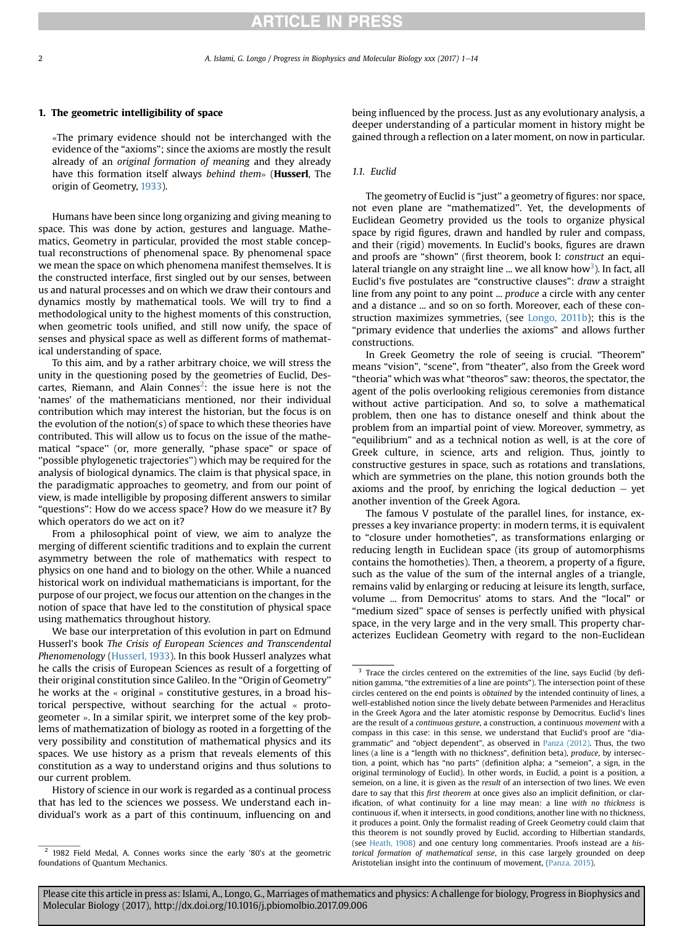#### 1. The geometric intelligibility of space

«The primary evidence should not be interchanged with the evidence of the "axioms"; since the axioms are mostly the result already of an original formation of meaning and they already have this formation itself always behind them» (**Husserl**, The origin of Geometry, [1933\)](#page-12-0).

Humans have been since long organizing and giving meaning to space. This was done by action, gestures and language. Mathematics, Geometry in particular, provided the most stable conceptual reconstructions of phenomenal space. By phenomenal space we mean the space on which phenomena manifest themselves. It is the constructed interface, first singled out by our senses, between us and natural processes and on which we draw their contours and dynamics mostly by mathematical tools. We will try to find a methodological unity to the highest moments of this construction, when geometric tools unified, and still now unify, the space of senses and physical space as well as different forms of mathematical understanding of space.

To this aim, and by a rather arbitrary choice, we will stress the unity in the questioning posed by the geometries of Euclid, Descartes, Riemann, and Alain Connes<sup>2</sup>: the issue here is not the 'names' of the mathematicians mentioned, nor their individual contribution which may interest the historian, but the focus is on the evolution of the notion(s) of space to which these theories have contributed. This will allow us to focus on the issue of the mathematical "space'' (or, more generally, "phase space" or space of ''possible phylogenetic trajectories'') which may be required for the analysis of biological dynamics. The claim is that physical space, in the paradigmatic approaches to geometry, and from our point of view, is made intelligible by proposing different answers to similar "questions": How do we access space? How do we measure it? By which operators do we act on it?

From a philosophical point of view, we aim to analyze the merging of different scientific traditions and to explain the current asymmetry between the role of mathematics with respect to physics on one hand and to biology on the other. While a nuanced historical work on individual mathematicians is important, for the purpose of our project, we focus our attention on the changes in the notion of space that have led to the constitution of physical space using mathematics throughout history.

We base our interpretation of this evolution in part on Edmund Husserl's book The Crisis of European Sciences and Transcendental Phenomenology ([Husserl, 1933\)](#page-12-0). In this book Husserl analyzes what he calls the crisis of European Sciences as result of a forgetting of their original constitution since Galileo. In the "Origin of Geometry'' he works at the « original » constitutive gestures, in a broad historical perspective, without searching for the actual « protogeometer ». In a similar spirit, we interpret some of the key problems of mathematization of biology as rooted in a forgetting of the very possibility and constitution of mathematical physics and its spaces. We use history as a prism that reveals elements of this constitution as a way to understand origins and thus solutions to our current problem.

History of science in our work is regarded as a continual process that has led to the sciences we possess. We understand each individual's work as a part of this continuum, influencing on and being influenced by the process. Just as any evolutionary analysis, a deeper understanding of a particular moment in history might be gained through a reflection on a later moment, on now in particular.

### 1.1. Euclid

The geometry of Euclid is "just'' a geometry of figures: nor space, not even plane are "mathematized''. Yet, the developments of Euclidean Geometry provided us the tools to organize physical space by rigid figures, drawn and handled by ruler and compass, and their (rigid) movements. In Euclid's books, figures are drawn and proofs are "shown" (first theorem, book I: construct an equilateral triangle on any straight line ... we all know how $^3$ ). In fact, all Euclid's five postulates are "constructive clauses": draw a straight line from any point to any point ... produce a circle with any center and a distance ... and so on so forth. Moreover, each of these construction maximizes symmetries, (see [Longo, 2011b\)](#page-12-0); this is the "primary evidence that underlies the axioms" and allows further constructions.

In Greek Geometry the role of seeing is crucial. "Theorem" means "vision", "scene", from "theater", also from the Greek word "theoria" which was what "theoros" saw: theoros, the spectator, the agent of the polis overlooking religious ceremonies from distance without active participation. And so, to solve a mathematical problem, then one has to distance oneself and think about the problem from an impartial point of view. Moreover, symmetry, as "equilibrium" and as a technical notion as well, is at the core of Greek culture, in science, arts and religion. Thus, jointly to constructive gestures in space, such as rotations and translations, which are symmetries on the plane, this notion grounds both the axioms and the proof, by enriching the logical deduction  $-$  yet another invention of the Greek Agora.

The famous V postulate of the parallel lines, for instance, expresses a key invariance property: in modern terms, it is equivalent to "closure under homotheties", as transformations enlarging or reducing length in Euclidean space (its group of automorphisms contains the homotheties). Then, a theorem, a property of a figure, such as the value of the sum of the internal angles of a triangle, remains valid by enlarging or reducing at leisure its length, surface, volume ... from Democritus' atoms to stars. And the "local" or "medium sized" space of senses is perfectly unified with physical space, in the very large and in the very small. This property characterizes Euclidean Geometry with regard to the non-Euclidean

<sup>&</sup>lt;sup>2</sup> 1982 Field Medal, A. Connes works since the early '80's at the geometric foundations of Quantum Mechanics.

<sup>&</sup>lt;sup>3</sup> Trace the circles centered on the extremities of the line, says Euclid (by definition gamma, "the extremities of a line are points"). The intersection point of these circles centered on the end points is obtained by the intended continuity of lines, a well-established notion since the lively debate between Parmenides and Heraclitus in the Greek Agora and the later atomistic response by Democritus. Euclid's lines are the result of a continuous gesture, a construction, a continuous movement with a compass in this case: in this sense, we understand that Euclid's proof are "diagrammatic" and "object dependent", as observed in [Panza \(2012\).](#page-12-0) Thus, the two lines (a line is a "length with no thickness", definition beta), produce, by intersection, a point, which has "no parts" (definition alpha; a "semeion", a sign, in the original terminology of Euclid). In other words, in Euclid, a point is a position, a semeion, on a line, it is given as the result of an intersection of two lines. We even dare to say that this first theorem at once gives also an implicit definition, or clarification, of what continuity for a line may mean: a line with no thickness is continuous if, when it intersects, in good conditions, another line with no thickness, it produces a point. Only the formalist reading of Greek Geometry could claim that this theorem is not soundly proved by Euclid, according to Hilbertian standards, (see [Heath, 1908\)](#page-12-0) and one century long commentaries. Proofs instead are a historical formation of mathematical sense, in this case largely grounded on deep Aristotelian insight into the continuum of movement, [\(Panza, 2015](#page-12-0)).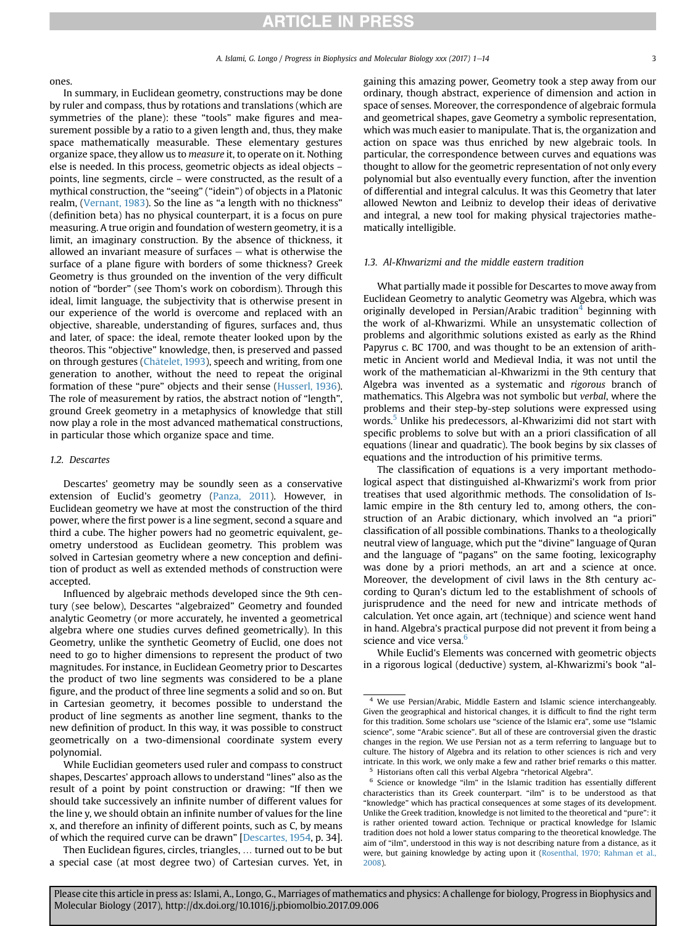#### <span id="page-2-0"></span>ones.

In summary, in Euclidean geometry, constructions may be done by ruler and compass, thus by rotations and translations (which are symmetries of the plane): these "tools" make figures and measurement possible by a ratio to a given length and, thus, they make space mathematically measurable. These elementary gestures organize space, they allow us to measure it, to operate on it. Nothing else is needed. In this process, geometric objects as ideal objects – points, line segments, circle – were constructed, as the result of a mythical construction, the "seeing" ("idein") of objects in a Platonic realm, ([Vernant, 1983](#page-13-0)). So the line as "a length with no thickness" (definition beta) has no physical counterpart, it is a focus on pure measuring. A true origin and foundation of western geometry, it is a limit, an imaginary construction. By the absence of thickness, it allowed an invariant measure of surfaces  $-$  what is otherwise the surface of a plane figure with borders of some thickness? Greek Geometry is thus grounded on the invention of the very difficult notion of "border" (see Thom's work on cobordism). Through this ideal, limit language, the subjectivity that is otherwise present in our experience of the world is overcome and replaced with an objective, shareable, understanding of figures, surfaces and, thus and later, of space: the ideal, remote theater looked upon by the theoros. This "objective" knowledge, then, is preserved and passed on through gestures (Châtelet, 1993), speech and writing, from one generation to another, without the need to repeat the original formation of these "pure" objects and their sense ([Husserl, 1936\)](#page-12-0). The role of measurement by ratios, the abstract notion of "length", ground Greek geometry in a metaphysics of knowledge that still now play a role in the most advanced mathematical constructions, in particular those which organize space and time.

### 1.2. Descartes

Descartes' geometry may be soundly seen as a conservative extension of Euclid's geometry ([Panza, 2011\)](#page-12-0). However, in Euclidean geometry we have at most the construction of the third power, where the first power is a line segment, second a square and third a cube. The higher powers had no geometric equivalent, geometry understood as Euclidean geometry. This problem was solved in Cartesian geometry where a new conception and definition of product as well as extended methods of construction were accepted.

Influenced by algebraic methods developed since the 9th century (see below), Descartes "algebraized" Geometry and founded analytic Geometry (or more accurately, he invented a geometrical algebra where one studies curves defined geometrically). In this Geometry, unlike the synthetic Geometry of Euclid, one does not need to go to higher dimensions to represent the product of two magnitudes. For instance, in Euclidean Geometry prior to Descartes the product of two line segments was considered to be a plane figure, and the product of three line segments a solid and so on. But in Cartesian geometry, it becomes possible to understand the product of line segments as another line segment, thanks to the new definition of product. In this way, it was possible to construct geometrically on a two-dimensional coordinate system every polynomial.

Then Euclidean figures, circles, triangles, … turned out to be but a special case (at most degree two) of Cartesian curves. Yet, in gaining this amazing power, Geometry took a step away from our ordinary, though abstract, experience of dimension and action in space of senses. Moreover, the correspondence of algebraic formula and geometrical shapes, gave Geometry a symbolic representation, which was much easier to manipulate. That is, the organization and action on space was thus enriched by new algebraic tools. In particular, the correspondence between curves and equations was thought to allow for the geometric representation of not only every polynomial but also eventually every function, after the invention of differential and integral calculus. It was this Geometry that later allowed Newton and Leibniz to develop their ideas of derivative and integral, a new tool for making physical trajectories mathematically intelligible.

#### 1.3. Al-Khwarizmi and the middle eastern tradition

What partially made it possible for Descartes to move away from Euclidean Geometry to analytic Geometry was Algebra, which was originally developed in Persian/Arabic tradition<sup>4</sup> beginning with the work of al-Khwarizmi. While an unsystematic collection of problems and algorithmic solutions existed as early as the Rhind Papyrus c. BC 1700, and was thought to be an extension of arithmetic in Ancient world and Medieval India, it was not until the work of the mathematician al-Khwarizmi in the 9th century that Algebra was invented as a systematic and rigorous branch of mathematics. This Algebra was not symbolic but verbal, where the problems and their step-by-step solutions were expressed using words.<sup>5</sup> Unlike his predecessors, al-Khwarizimi did not start with specific problems to solve but with an a priori classification of all equations (linear and quadratic). The book begins by six classes of equations and the introduction of his primitive terms.

The classification of equations is a very important methodological aspect that distinguished al-Khwarizmi's work from prior treatises that used algorithmic methods. The consolidation of Islamic empire in the 8th century led to, among others, the construction of an Arabic dictionary, which involved an "a priori" classification of all possible combinations. Thanks to a theologically neutral view of language, which put the "divine" language of Quran and the language of "pagans" on the same footing, lexicography was done by a priori methods, an art and a science at once. Moreover, the development of civil laws in the 8th century according to Quran's dictum led to the establishment of schools of jurisprudence and the need for new and intricate methods of calculation. Yet once again, art (technique) and science went hand in hand. Algebra's practical purpose did not prevent it from being a science and vice versa.<sup>6</sup>

While Euclid's Elements was concerned with geometric objects in a rigorous logical (deductive) system, al-Khwarizmi's book "al-

While Euclidian geometers used ruler and compass to construct shapes, Descartes' approach allows to understand "lines" also as the result of a point by point construction or drawing: "If then we should take successively an infinite number of different values for the line y, we should obtain an infinite number of values for the line x, and therefore an infinity of different points, such as C, by means of which the required curve can be drawn" [\[Descartes, 1954](#page-12-0), p. 34].

<sup>4</sup> We use Persian/Arabic, Middle Eastern and Islamic science interchangeably. Given the geographical and historical changes, it is difficult to find the right term for this tradition. Some scholars use "science of the Islamic era", some use "Islamic science", some "Arabic science". But all of these are controversial given the drastic changes in the region. We use Persian not as a term referring to language but to culture. The history of Algebra and its relation to other sciences is rich and very intricate. In this work, we only make a few and rather brief remarks o this matter. Historians often call this verbal Algebra "rhetorical Algebra".

 $6$  Science or knowledge "ilm" in the Islamic tradition has essentially different characteristics than its Greek counterpart. "ilm" is to be understood as that "knowledge" which has practical consequences at some stages of its development. Unlike the Greek tradition, knowledge is not limited to the theoretical and "pure": it is rather oriented toward action. Technique or practical knowledge for Islamic tradition does not hold a lower status comparing to the theoretical knowledge. The aim of "ilm", understood in this way is not describing nature from a distance, as it were, but gaining knowledge by acting upon it [\(Rosenthal, 1970; Rahman et al.,](#page-13-0) [2008\)](#page-13-0).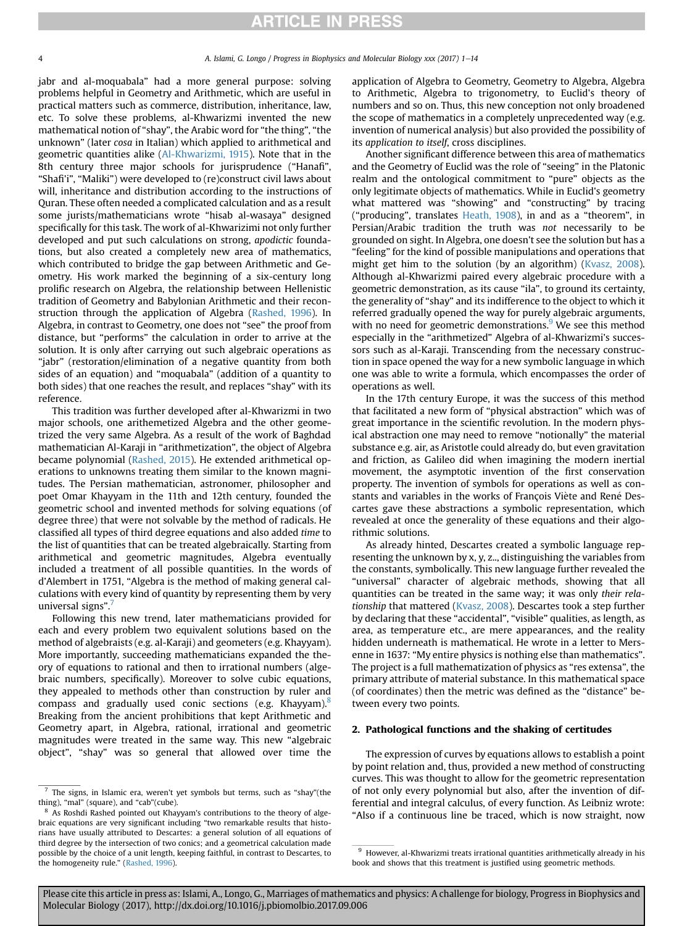<span id="page-3-0"></span>jabr and al-moquabala" had a more general purpose: solving problems helpful in Geometry and Arithmetic, which are useful in practical matters such as commerce, distribution, inheritance, law, etc. To solve these problems, al-Khwarizmi invented the new mathematical notion of "shay", the Arabic word for "the thing", "the unknown" (later cosa in Italian) which applied to arithmetical and geometric quantities alike ([Al-Khwarizmi, 1915\)](#page-12-0). Note that in the 8th century three major schools for jurisprudence ("Hanafi", "Shafi'i", "Maliki") were developed to (re)construct civil laws about will, inheritance and distribution according to the instructions of Quran. These often needed a complicated calculation and as a result some jurists/mathematicians wrote "hisab al-wasaya" designed specifically for this task. The work of al-Khwarizimi not only further developed and put such calculations on strong, apodictic foundations, but also created a completely new area of mathematics, which contributed to bridge the gap between Arithmetic and Geometry. His work marked the beginning of a six-century long prolific research on Algebra, the relationship between Hellenistic tradition of Geometry and Babylonian Arithmetic and their reconstruction through the application of Algebra [\(Rashed, 1996](#page-13-0)). In Algebra, in contrast to Geometry, one does not "see" the proof from distance, but "performs" the calculation in order to arrive at the solution. It is only after carrying out such algebraic operations as "jabr" (restoration/elimination of a negative quantity from both sides of an equation) and "moquabala" (addition of a quantity to both sides) that one reaches the result, and replaces "shay" with its reference.

This tradition was further developed after al-Khwarizmi in two major schools, one arithemetized Algebra and the other geometrized the very same Algebra. As a result of the work of Baghdad mathematician Al-Karaji in "arithmetization", the object of Algebra became polynomial [\(Rashed, 2015](#page-13-0)). He extended arithmetical operations to unknowns treating them similar to the known magnitudes. The Persian mathematician, astronomer, philosopher and poet Omar Khayyam in the 11th and 12th century, founded the geometric school and invented methods for solving equations (of degree three) that were not solvable by the method of radicals. He classified all types of third degree equations and also added time to the list of quantities that can be treated algebraically. Starting from arithmetical and geometric magnitudes, Algebra eventually included a treatment of all possible quantities. In the words of d'Alembert in 1751, "Algebra is the method of making general calculations with every kind of quantity by representing them by very universal signs".<sup>7</sup>

Following this new trend, later mathematicians provided for each and every problem two equivalent solutions based on the method of algebraists (e.g. al-Karaji) and geometers (e.g. Khayyam). More importantly, succeeding mathematicians expanded the theory of equations to rational and then to irrational numbers (algebraic numbers, specifically). Moreover to solve cubic equations, they appealed to methods other than construction by ruler and compass and gradually used conic sections (e.g. Khayyam).<sup>8</sup> Breaking from the ancient prohibitions that kept Arithmetic and Geometry apart, in Algebra, rational, irrational and geometric magnitudes were treated in the same way. This new "algebraic object", "shay" was so general that allowed over time the application of Algebra to Geometry, Geometry to Algebra, Algebra to Arithmetic, Algebra to trigonometry, to Euclid's theory of numbers and so on. Thus, this new conception not only broadened the scope of mathematics in a completely unprecedented way (e.g. invention of numerical analysis) but also provided the possibility of its application to itself, cross disciplines.

Another significant difference between this area of mathematics and the Geometry of Euclid was the role of "seeing" in the Platonic realm and the ontological commitment to "pure" objects as the only legitimate objects of mathematics. While in Euclid's geometry what mattered was "showing" and "constructing" by tracing ("producing", translates [Heath, 1908\)](#page-12-0), in and as a "theorem", in Persian/Arabic tradition the truth was not necessarily to be grounded on sight. In Algebra, one doesn't see the solution but has a "feeling" for the kind of possible manipulations and operations that might get him to the solution (by an algorithm) [\(Kvasz, 2008\)](#page-12-0). Although al-Khwarizmi paired every algebraic procedure with a geometric demonstration, as its cause "ila", to ground its certainty, the generality of "shay" and its indifference to the object to which it referred gradually opened the way for purely algebraic arguments, with no need for geometric demonstrations. $9$  We see this method especially in the "arithmetized" Algebra of al-Khwarizmi's successors such as al-Karaji. Transcending from the necessary construction in space opened the way for a new symbolic language in which one was able to write a formula, which encompasses the order of operations as well.

In the 17th century Europe, it was the success of this method that facilitated a new form of "physical abstraction" which was of great importance in the scientific revolution. In the modern physical abstraction one may need to remove "notionally" the material substance e.g. air, as Aristotle could already do, but even gravitation and friction, as Galileo did when imagining the modern inertial movement, the asymptotic invention of the first conservation property. The invention of symbols for operations as well as constants and variables in the works of François Viète and René Descartes gave these abstractions a symbolic representation, which revealed at once the generality of these equations and their algorithmic solutions.

As already hinted, Descartes created a symbolic language representing the unknown by x, y, z.., distinguishing the variables from the constants, symbolically. This new language further revealed the "universal" character of algebraic methods, showing that all quantities can be treated in the same way; it was only their relationship that mattered [\(Kvasz, 2008](#page-12-0)). Descartes took a step further by declaring that these "accidental", "visible" qualities, as length, as area, as temperature etc., are mere appearances, and the reality hidden underneath is mathematical. He wrote in a letter to Mersenne in 1637: "My entire physics is nothing else than mathematics". The project is a full mathematization of physics as "res extensa", the primary attribute of material substance. In this mathematical space (of coordinates) then the metric was defined as the "distance" between every two points.

#### 2. Pathological functions and the shaking of certitudes

The expression of curves by equations allows to establish a point by point relation and, thus, provided a new method of constructing curves. This was thought to allow for the geometric representation of not only every polynomial but also, after the invention of differential and integral calculus, of every function. As Leibniz wrote: "Also if a continuous line be traced, which is now straight, now

 $7$  The signs, in Islamic era, weren't yet symbols but terms, such as "shay"(the thing), "mal" (square), and "cab"(cube).

<sup>8</sup> As Roshdi Rashed pointed out Khayyam's contributions to the theory of algebraic equations are very significant including "two remarkable results that historians have usually attributed to Descartes: a general solution of all equations of third degree by the intersection of two conics; and a geometrical calculation made possible by the choice of a unit length, keeping faithful, in contrast to Descartes, to the homogeneity rule." ([Rashed, 1996\)](#page-13-0).

 $9$  However, al-Khwarizmi treats irrational quantities arithmetically already in his book and shows that this treatment is justified using geometric methods.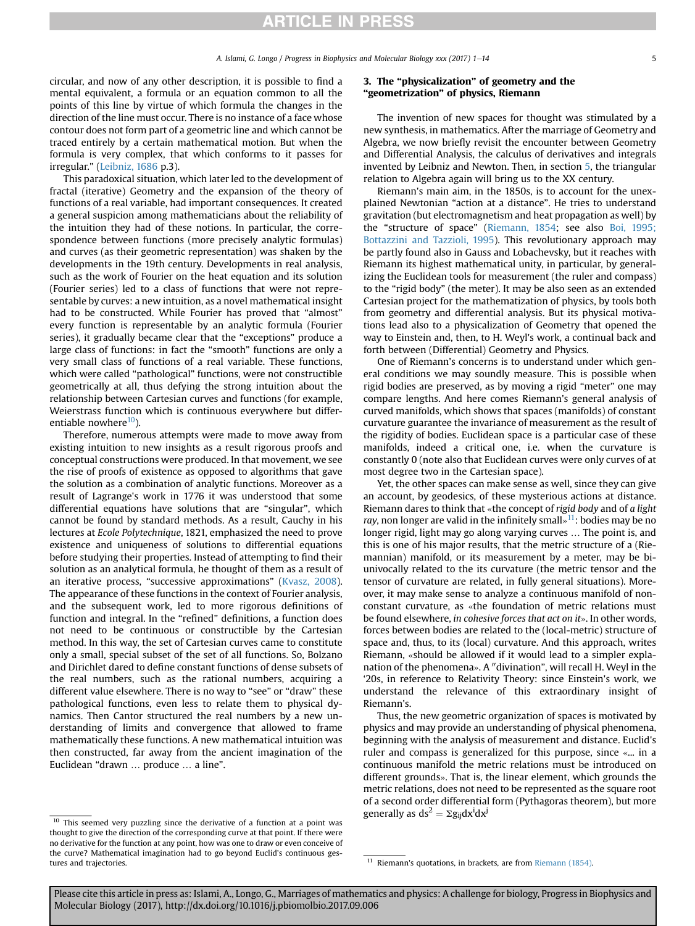circular, and now of any other description, it is possible to find a mental equivalent, a formula or an equation common to all the points of this line by virtue of which formula the changes in the direction of the line must occur. There is no instance of a face whose contour does not form part of a geometric line and which cannot be traced entirely by a certain mathematical motion. But when the formula is very complex, that which conforms to it passes for irregular." ([Leibniz, 1686](#page-12-0) p.3).

This paradoxical situation, which later led to the development of fractal (iterative) Geometry and the expansion of the theory of functions of a real variable, had important consequences. It created a general suspicion among mathematicians about the reliability of the intuition they had of these notions. In particular, the correspondence between functions (more precisely analytic formulas) and curves (as their geometric representation) was shaken by the developments in the 19th century. Developments in real analysis, such as the work of Fourier on the heat equation and its solution (Fourier series) led to a class of functions that were not representable by curves: a new intuition, as a novel mathematical insight had to be constructed. While Fourier has proved that "almost" every function is representable by an analytic formula (Fourier series), it gradually became clear that the "exceptions" produce a large class of functions: in fact the "smooth" functions are only a very small class of functions of a real variable. These functions, which were called "pathological" functions, were not constructible geometrically at all, thus defying the strong intuition about the relationship between Cartesian curves and functions (for example, Weierstrass function which is continuous everywhere but differentiable nowhere $10$ ).

Therefore, numerous attempts were made to move away from existing intuition to new insights as a result rigorous proofs and conceptual constructions were produced. In that movement, we see the rise of proofs of existence as opposed to algorithms that gave the solution as a combination of analytic functions. Moreover as a result of Lagrange's work in 1776 it was understood that some differential equations have solutions that are "singular", which cannot be found by standard methods. As a result, Cauchy in his lectures at Ecole Polytechnique, 1821, emphasized the need to prove existence and uniqueness of solutions to differential equations before studying their properties. Instead of attempting to find their solution as an analytical formula, he thought of them as a result of an iterative process, "successive approximations" ([Kvasz, 2008\)](#page-12-0). The appearance of these functions in the context of Fourier analysis, and the subsequent work, led to more rigorous definitions of function and integral. In the "refined" definitions, a function does not need to be continuous or constructible by the Cartesian method. In this way, the set of Cartesian curves came to constitute only a small, special subset of the set of all functions. So, Bolzano and Dirichlet dared to define constant functions of dense subsets of the real numbers, such as the rational numbers, acquiring a different value elsewhere. There is no way to "see" or "draw" these pathological functions, even less to relate them to physical dynamics. Then Cantor structured the real numbers by a new understanding of limits and convergence that allowed to frame mathematically these functions. A new mathematical intuition was then constructed, far away from the ancient imagination of the Euclidean "drawn … produce … a line".

### $10$  This seemed very puzzling since the derivative of a function at a point was thought to give the direction of the corresponding curve at that point. If there were no derivative for the function at any point, how was one to draw or even conceive of the curve? Mathematical imagination had to go beyond Euclid's continuous gestures and trajectories. **11** Riemann's quotations, in brackets, are from [Riemann \(1854\)](#page-13-0).

## 3. The "physicalization" of geometry and the "geometrization" of physics, Riemann

The invention of new spaces for thought was stimulated by a new synthesis, in mathematics. After the marriage of Geometry and Algebra, we now briefly revisit the encounter between Geometry and Differential Analysis, the calculus of derivatives and integrals invented by Leibniz and Newton. Then, in section [5](#page-5-0), the triangular relation to Algebra again will bring us to the XX century.

Riemann's main aim, in the 1850s, is to account for the unexplained Newtonian "action at a distance". He tries to understand gravitation (but electromagnetism and heat propagation as well) by the "structure of space" ([Riemann, 1854;](#page-13-0) see also [Boi, 1995;](#page-12-0) [Bottazzini and Tazzioli, 1995\)](#page-12-0). This revolutionary approach may be partly found also in Gauss and Lobachevsky, but it reaches with Riemann its highest mathematical unity, in particular, by generalizing the Euclidean tools for measurement (the ruler and compass) to the "rigid body" (the meter). It may be also seen as an extended Cartesian project for the mathematization of physics, by tools both from geometry and differential analysis. But its physical motivations lead also to a physicalization of Geometry that opened the way to Einstein and, then, to H. Weyl's work, a continual back and forth between (Differential) Geometry and Physics.

One of Riemann's concerns is to understand under which general conditions we may soundly measure. This is possible when rigid bodies are preserved, as by moving a rigid "meter" one may compare lengths. And here comes Riemann's general analysis of curved manifolds, which shows that spaces (manifolds) of constant curvature guarantee the invariance of measurement as the result of the rigidity of bodies. Euclidean space is a particular case of these manifolds, indeed a critical one, i.e. when the curvature is constantly 0 (note also that Euclidean curves were only curves of at most degree two in the Cartesian space).

Yet, the other spaces can make sense as well, since they can give an account, by geodesics, of these mysterious actions at distance. Riemann dares to think that «the concept of rigid body and of a light ray, non longer are valid in the infinitely small $\frac{1}{2}$ : bodies may be no longer rigid, light may go along varying curves … The point is, and this is one of his major results, that the metric structure of a (Riemannian) manifold, or its measurement by a meter, may be biunivocally related to the its curvature (the metric tensor and the tensor of curvature are related, in fully general situations). Moreover, it may make sense to analyze a continuous manifold of nonconstant curvature, as «the foundation of metric relations must be found elsewhere, in cohesive forces that act on it». In other words, forces between bodies are related to the (local-metric) structure of space and, thus, to its (local) curvature. And this approach, writes Riemann, «should be allowed if it would lead to a simpler explanation of the phenomena». A "divination", will recall H. Weyl in the '20s, in reference to Relativity Theory: since Einstein's work, we understand the relevance of this extraordinary insight of Riemann's.

Thus, the new geometric organization of spaces is motivated by physics and may provide an understanding of physical phenomena, beginning with the analysis of measurement and distance. Euclid's ruler and compass is generalized for this purpose, since «... in a continuous manifold the metric relations must be introduced on different grounds». That is, the linear element, which grounds the metric relations, does not need to be represented as the square root of a second order differential form (Pythagoras theorem), but more generally as  $ds^2 = \Sigma g_{ij} dx^i dx^j$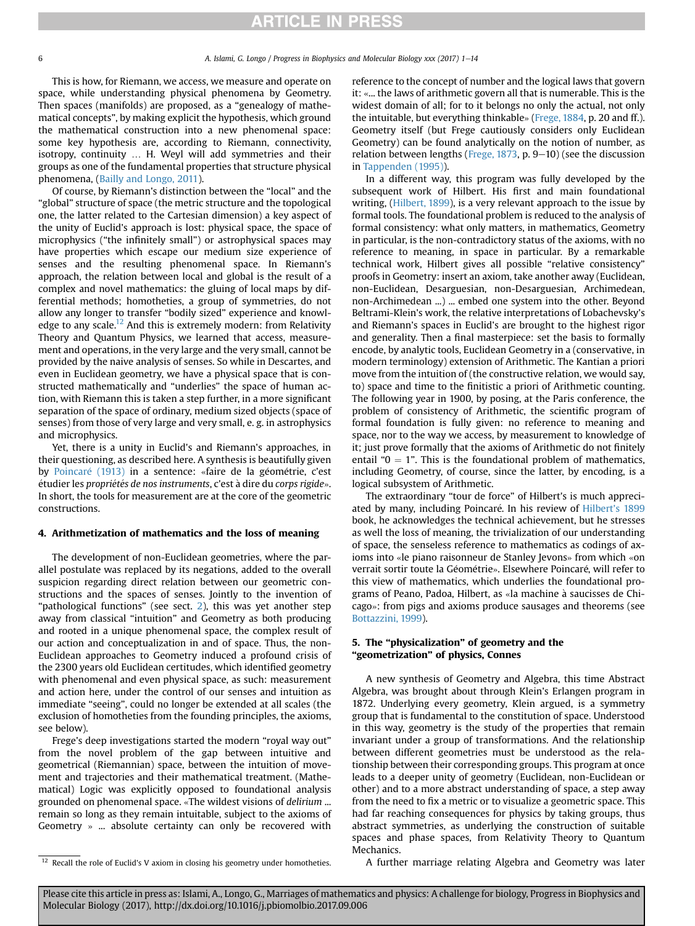<span id="page-5-0"></span>This is how, for Riemann, we access, we measure and operate on space, while understanding physical phenomena by Geometry. Then spaces (manifolds) are proposed, as a "genealogy of mathematical concepts", by making explicit the hypothesis, which ground the mathematical construction into a new phenomenal space: some key hypothesis are, according to Riemann, connectivity, isotropy, continuity … H. Weyl will add symmetries and their groups as one of the fundamental properties that structure physical phenomena, [\(Bailly and Longo, 2011\)](#page-12-0).

Of course, by Riemann's distinction between the "local" and the "global" structure of space (the metric structure and the topological one, the latter related to the Cartesian dimension) a key aspect of the unity of Euclid's approach is lost: physical space, the space of microphysics ("the infinitely small") or astrophysical spaces may have properties which escape our medium size experience of senses and the resulting phenomenal space. In Riemann's approach, the relation between local and global is the result of a complex and novel mathematics: the gluing of local maps by differential methods; homotheties, a group of symmetries, do not allow any longer to transfer "bodily sized" experience and knowledge to any scale.<sup>12</sup> And this is extremely modern: from Relativity Theory and Quantum Physics, we learned that access, measurement and operations, in the very large and the very small, cannot be provided by the naive analysis of senses. So while in Descartes, and even in Euclidean geometry, we have a physical space that is constructed mathematically and "underlies" the space of human action, with Riemann this is taken a step further, in a more significant separation of the space of ordinary, medium sized objects (space of senses) from those of very large and very small, e. g. in astrophysics and microphysics.

Yet, there is a unity in Euclid's and Riemann's approaches, in their questioning, as described here. A synthesis is beautifully given by Poincaré (1913) in a sentence: «faire de la géométrie, c'est étudier les propriétés de nos instruments, c'est à dire du corps rigide». In short, the tools for measurement are at the core of the geometric constructions.

### 4. Arithmetization of mathematics and the loss of meaning

The development of non-Euclidean geometries, where the parallel postulate was replaced by its negations, added to the overall suspicion regarding direct relation between our geometric constructions and the spaces of senses. Jointly to the invention of "pathological functions" (see sect. [2\)](#page-3-0), this was yet another step away from classical "intuition" and Geometry as both producing and rooted in a unique phenomenal space, the complex result of our action and conceptualization in and of space. Thus, the non-Euclidean approaches to Geometry induced a profound crisis of the 2300 years old Euclidean certitudes, which identified geometry with phenomenal and even physical space, as such: measurement and action here, under the control of our senses and intuition as immediate "seeing", could no longer be extended at all scales (the exclusion of homotheties from the founding principles, the axioms, see below).

Frege's deep investigations started the modern "royal way out" from the novel problem of the gap between intuitive and geometrical (Riemannian) space, between the intuition of movement and trajectories and their mathematical treatment. (Mathematical) Logic was explicitly opposed to foundational analysis grounded on phenomenal space. «The wildest visions of delirium ... remain so long as they remain intuitable, subject to the axioms of Geometry » ... absolute certainty can only be recovered with reference to the concept of number and the logical laws that govern it: «... the laws of arithmetic govern all that is numerable. This is the widest domain of all; for to it belongs no only the actual, not only the intuitable, but everything thinkable» ([Frege, 1884](#page-12-0), p. 20 and ff.). Geometry itself (but Frege cautiously considers only Euclidean Geometry) can be found analytically on the notion of number, as relation between lengths [\(Frege, 1873,](#page-12-0) p.  $9-10$ ) (see the discussion in [Tappenden \(1995\)](#page-13-0)).

In a different way, this program was fully developed by the subsequent work of Hilbert. His first and main foundational writing, ([Hilbert, 1899](#page-12-0)), is a very relevant approach to the issue by formal tools. The foundational problem is reduced to the analysis of formal consistency: what only matters, in mathematics, Geometry in particular, is the non-contradictory status of the axioms, with no reference to meaning, in space in particular. By a remarkable technical work, Hilbert gives all possible "relative consistency" proofs in Geometry: insert an axiom, take another away (Euclidean, non-Euclidean, Desarguesian, non-Desarguesian, Archimedean, non-Archimedean ...) ... embed one system into the other. Beyond Beltrami-Klein's work, the relative interpretations of Lobachevsky's and Riemann's spaces in Euclid's are brought to the highest rigor and generality. Then a final masterpiece: set the basis to formally encode, by analytic tools, Euclidean Geometry in a (conservative, in modern terminology) extension of Arithmetic. The Kantian a priori move from the intuition of (the constructive relation, we would say, to) space and time to the finitistic a priori of Arithmetic counting. The following year in 1900, by posing, at the Paris conference, the problem of consistency of Arithmetic, the scientific program of formal foundation is fully given: no reference to meaning and space, nor to the way we access, by measurement to knowledge of it; just prove formally that the axioms of Arithmetic do not finitely entail " $0 = 1$ ". This is the foundational problem of mathematics, including Geometry, of course, since the latter, by encoding, is a logical subsystem of Arithmetic.

The extraordinary "tour de force" of Hilbert's is much appreci-ated by many, including Poincaré. In his review of [Hilbert's 1899](#page-12-0) book, he acknowledges the technical achievement, but he stresses as well the loss of meaning, the trivialization of our understanding of space, the senseless reference to mathematics as codings of axioms into «le piano raisonneur de Stanley Jevons» from which «on verrait sortir toute la Géométrie». Elsewhere Poincaré, will refer to this view of mathematics, which underlies the foundational programs of Peano, Padoa, Hilbert, as «la machine a saucisses de Chi cago»: from pigs and axioms produce sausages and theorems (see [Bottazzini, 1999\)](#page-12-0).

# 5. The "physicalization" of geometry and the "geometrization" of physics, Connes

A new synthesis of Geometry and Algebra, this time Abstract Algebra, was brought about through Klein's Erlangen program in 1872. Underlying every geometry, Klein argued, is a symmetry group that is fundamental to the constitution of space. Understood in this way, geometry is the study of the properties that remain invariant under a group of transformations. And the relationship between different geometries must be understood as the relationship between their corresponding groups. This program at once leads to a deeper unity of geometry (Euclidean, non-Euclidean or other) and to a more abstract understanding of space, a step away from the need to fix a metric or to visualize a geometric space. This had far reaching consequences for physics by taking groups, thus abstract symmetries, as underlying the construction of suitable spaces and phase spaces, from Relativity Theory to Quantum Mechanics.

<sup>12</sup> Recall the role of Euclid's V axiom in closing his geometry under homotheties. A further marriage relating Algebra and Geometry was later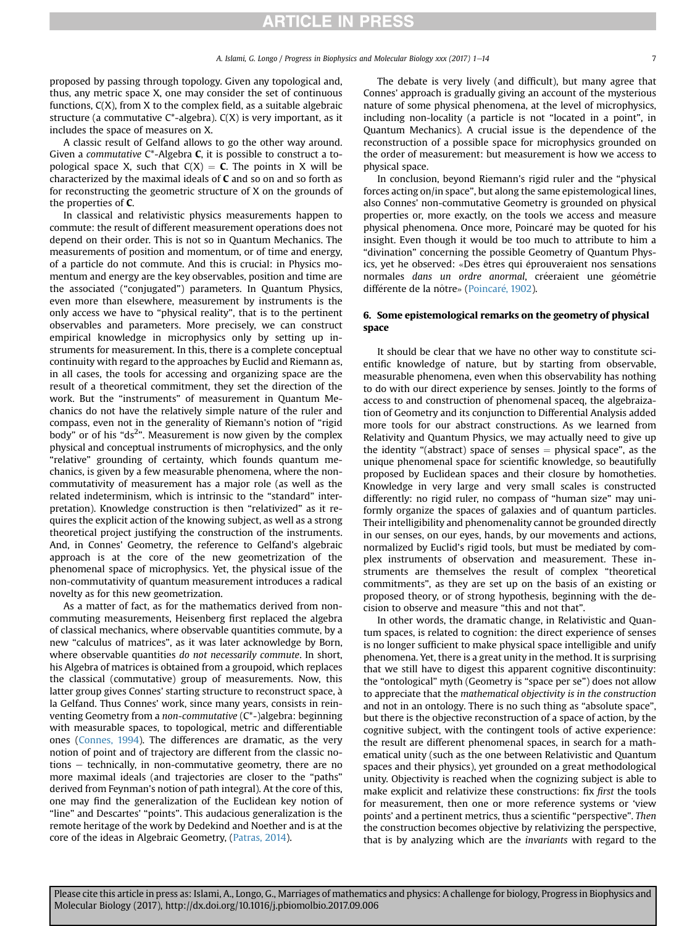proposed by passing through topology. Given any topological and, thus, any metric space X, one may consider the set of continuous functions,  $C(X)$ , from X to the complex field, as a suitable algebraic structure (a commutative  $C^*$ -algebra).  $C(X)$  is very important, as it includes the space of measures on X.

A classic result of Gelfand allows to go the other way around. Given a commutative  $C^*$ -Algebra **C**, it is possible to construct a topological space X, such that  $C(X) = C$ . The points in X will be characterized by the maximal ideals of C and so on and so forth as for reconstructing the geometric structure of X on the grounds of the properties of C.

In classical and relativistic physics measurements happen to commute: the result of different measurement operations does not depend on their order. This is not so in Quantum Mechanics. The measurements of position and momentum, or of time and energy, of a particle do not commute. And this is crucial: in Physics momentum and energy are the key observables, position and time are the associated ("conjugated") parameters. In Quantum Physics, even more than elsewhere, measurement by instruments is the only access we have to "physical reality", that is to the pertinent observables and parameters. More precisely, we can construct empirical knowledge in microphysics only by setting up instruments for measurement. In this, there is a complete conceptual continuity with regard to the approaches by Euclid and Riemann as, in all cases, the tools for accessing and organizing space are the result of a theoretical commitment, they set the direction of the work. But the "instruments" of measurement in Quantum Mechanics do not have the relatively simple nature of the ruler and compass, even not in the generality of Riemann's notion of "rigid body" or of his "ds<sup>2</sup>". Measurement is now given by the complex physical and conceptual instruments of microphysics, and the only "relative" grounding of certainty, which founds quantum mechanics, is given by a few measurable phenomena, where the noncommutativity of measurement has a major role (as well as the related indeterminism, which is intrinsic to the "standard" interpretation). Knowledge construction is then "relativized" as it requires the explicit action of the knowing subject, as well as a strong theoretical project justifying the construction of the instruments. And, in Connes' Geometry, the reference to Gelfand's algebraic approach is at the core of the new geometrization of the phenomenal space of microphysics. Yet, the physical issue of the non-commutativity of quantum measurement introduces a radical novelty as for this new geometrization.

As a matter of fact, as for the mathematics derived from noncommuting measurements, Heisenberg first replaced the algebra of classical mechanics, where observable quantities commute, by a new "calculus of matrices", as it was later acknowledge by Born, where observable quantities do not necessarily commute. In short, his Algebra of matrices is obtained from a groupoid, which replaces the classical (commutative) group of measurements. Now, this latter group gives Connes' starting structure to reconstruct space, à la Gelfand. Thus Connes' work, since many years, consists in reinventing Geometry from a non-commutative (C\*-)algebra: beginning with measurable spaces, to topological, metric and differentiable ones [\(Connes, 1994](#page-12-0)). The differences are dramatic, as the very notion of point and of trajectory are different from the classic no $tions - technically, in non-commutative geometry, there are no$ more maximal ideals (and trajectories are closer to the "paths" derived from Feynman's notion of path integral). At the core of this, one may find the generalization of the Euclidean key notion of "line" and Descartes' "points". This audacious generalization is the remote heritage of the work by Dedekind and Noether and is at the core of the ideas in Algebraic Geometry, ([Patras, 2014](#page-12-0)).

The debate is very lively (and difficult), but many agree that Connes' approach is gradually giving an account of the mysterious nature of some physical phenomena, at the level of microphysics, including non-locality (a particle is not "located in a point", in Quantum Mechanics). A crucial issue is the dependence of the reconstruction of a possible space for microphysics grounded on the order of measurement: but measurement is how we access to physical space.

In conclusion, beyond Riemann's rigid ruler and the "physical forces acting on/in space", but along the same epistemological lines, also Connes' non-commutative Geometry is grounded on physical properties or, more exactly, on the tools we access and measure physical phenomena. Once more, Poincaré may be quoted for his insight. Even though it would be too much to attribute to him a "divination" concerning the possible Geometry of Quantum Physics, yet he observed: «Des êtres qui éprouveraient nos sensations normales dans un ordre anormal, créeraient une géométrie différente de la nôtre» (Poincaré, 1902).

# 6. Some epistemological remarks on the geometry of physical space

It should be clear that we have no other way to constitute scientific knowledge of nature, but by starting from observable, measurable phenomena, even when this observability has nothing to do with our direct experience by senses. Jointly to the forms of access to and construction of phenomenal spaceq, the algebraization of Geometry and its conjunction to Differential Analysis added more tools for our abstract constructions. As we learned from Relativity and Quantum Physics, we may actually need to give up the identity "(abstract) space of senses  $=$  physical space", as the unique phenomenal space for scientific knowledge, so beautifully proposed by Euclidean spaces and their closure by homotheties. Knowledge in very large and very small scales is constructed differently: no rigid ruler, no compass of "human size" may uniformly organize the spaces of galaxies and of quantum particles. Their intelligibility and phenomenality cannot be grounded directly in our senses, on our eyes, hands, by our movements and actions, normalized by Euclid's rigid tools, but must be mediated by complex instruments of observation and measurement. These instruments are themselves the result of complex "theoretical commitments", as they are set up on the basis of an existing or proposed theory, or of strong hypothesis, beginning with the decision to observe and measure "this and not that".

In other words, the dramatic change, in Relativistic and Quantum spaces, is related to cognition: the direct experience of senses is no longer sufficient to make physical space intelligible and unify phenomena. Yet, there is a great unity in the method. It is surprising that we still have to digest this apparent cognitive discontinuity: the "ontological" myth (Geometry is "space per se") does not allow to appreciate that the mathematical objectivity is in the construction and not in an ontology. There is no such thing as "absolute space", but there is the objective reconstruction of a space of action, by the cognitive subject, with the contingent tools of active experience: the result are different phenomenal spaces, in search for a mathematical unity (such as the one between Relativistic and Quantum spaces and their physics), yet grounded on a great methodological unity. Objectivity is reached when the cognizing subject is able to make explicit and relativize these constructions: fix *first* the tools for measurement, then one or more reference systems or 'view points' and a pertinent metrics, thus a scientific "perspective". Then the construction becomes objective by relativizing the perspective, that is by analyzing which are the invariants with regard to the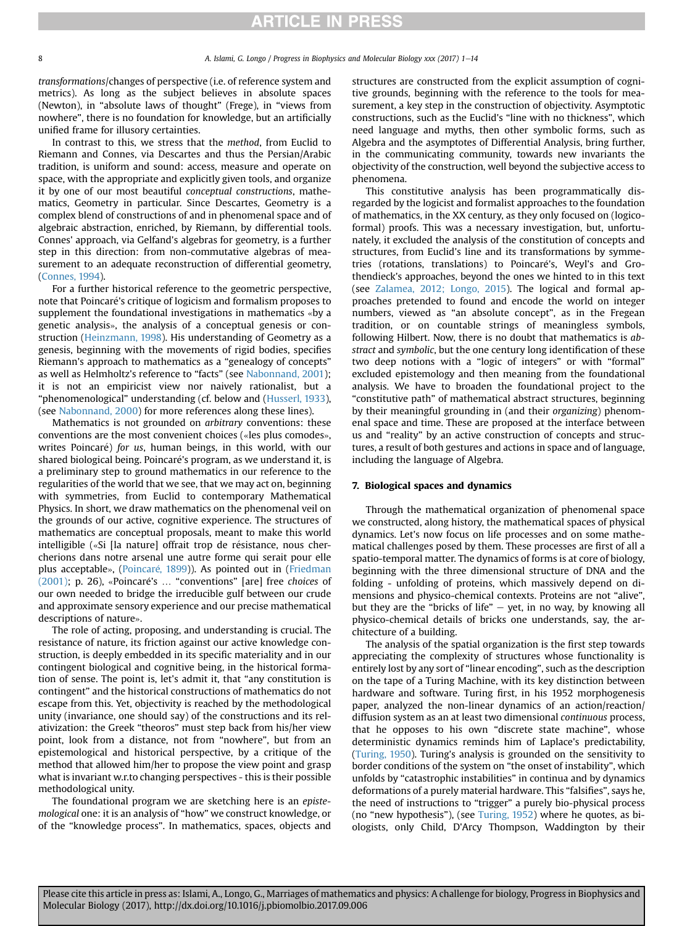transformations/changes of perspective (i.e. of reference system and metrics). As long as the subject believes in absolute spaces (Newton), in "absolute laws of thought" (Frege), in "views from nowhere", there is no foundation for knowledge, but an artificially unified frame for illusory certainties.

In contrast to this, we stress that the method, from Euclid to Riemann and Connes, via Descartes and thus the Persian/Arabic tradition, is uniform and sound: access, measure and operate on space, with the appropriate and explicitly given tools, and organize it by one of our most beautiful conceptual constructions, mathematics, Geometry in particular. Since Descartes, Geometry is a complex blend of constructions of and in phenomenal space and of algebraic abstraction, enriched, by Riemann, by differential tools. Connes' approach, via Gelfand's algebras for geometry, is a further step in this direction: from non-commutative algebras of measurement to an adequate reconstruction of differential geometry, ([Connes, 1994\)](#page-12-0).

For a further historical reference to the geometric perspective, note that Poincare's critique of logicism and formalism proposes to supplement the foundational investigations in mathematics «by a genetic analysis», the analysis of a conceptual genesis or construction [\(Heinzmann, 1998\)](#page-12-0). His understanding of Geometry as a genesis, beginning with the movements of rigid bodies, specifies Riemann's approach to mathematics as a "genealogy of concepts" as well as Helmholtz's reference to "facts" (see [Nabonnand, 2001](#page-12-0)); it is not an empiricist view nor naively rationalist, but a "phenomenological" understanding (cf. below and ([Husserl, 1933\)](#page-12-0), (see [Nabonnand, 2000](#page-12-0)) for more references along these lines).

Mathematics is not grounded on arbitrary conventions: these conventions are the most convenient choices («les plus comodes», writes Poincaré) for us, human beings, in this world, with our shared biological being. Poincaré's program, as we understand it, is a preliminary step to ground mathematics in our reference to the regularities of the world that we see, that we may act on, beginning with symmetries, from Euclid to contemporary Mathematical Physics. In short, we draw mathematics on the phenomenal veil on the grounds of our active, cognitive experience. The structures of mathematics are conceptual proposals, meant to make this world intelligible («Si [la nature] offrait trop de résistance, nous chercherions dans notre arsenal une autre forme qui serait pour elle plus acceptable», (Poincaré, 1899)). As pointed out in [\(Friedman](#page-12-0) [\(2001\);](#page-12-0) p. 26), «Poincaré's ... "conventions" [are] free choices of our own needed to bridge the irreducible gulf between our crude and approximate sensory experience and our precise mathematical descriptions of nature».

The role of acting, proposing, and understanding is crucial. The resistance of nature, its friction against our active knowledge construction, is deeply embedded in its specific materiality and in our contingent biological and cognitive being, in the historical formation of sense. The point is, let's admit it, that "any constitution is contingent" and the historical constructions of mathematics do not escape from this. Yet, objectivity is reached by the methodological unity (invariance, one should say) of the constructions and its relativization: the Greek "theoros" must step back from his/her view point, look from a distance, not from "nowhere", but from an epistemological and historical perspective, by a critique of the method that allowed him/her to propose the view point and grasp what is invariant w.r.to changing perspectives - this is their possible methodological unity.

The foundational program we are sketching here is an epistemological one: it is an analysis of "how" we construct knowledge, or of the "knowledge process". In mathematics, spaces, objects and structures are constructed from the explicit assumption of cognitive grounds, beginning with the reference to the tools for measurement, a key step in the construction of objectivity. Asymptotic constructions, such as the Euclid's "line with no thickness", which need language and myths, then other symbolic forms, such as Algebra and the asymptotes of Differential Analysis, bring further, in the communicating community, towards new invariants the objectivity of the construction, well beyond the subjective access to phenomena.

This constitutive analysis has been programmatically disregarded by the logicist and formalist approaches to the foundation of mathematics, in the XX century, as they only focused on (logicoformal) proofs. This was a necessary investigation, but, unfortunately, it excluded the analysis of the constitution of concepts and structures, from Euclid's line and its transformations by symmetries (rotations, translations) to Poincare's, Weyl's and Gro thendieck's approaches, beyond the ones we hinted to in this text (see [Zalamea, 2012; Longo, 2015\)](#page-13-0). The logical and formal approaches pretended to found and encode the world on integer numbers, viewed as "an absolute concept", as in the Fregean tradition, or on countable strings of meaningless symbols, following Hilbert. Now, there is no doubt that mathematics is abstract and symbolic, but the one century long identification of these two deep notions with a "logic of integers" or with "formal" excluded epistemology and then meaning from the foundational analysis. We have to broaden the foundational project to the "constitutive path" of mathematical abstract structures, beginning by their meaningful grounding in (and their organizing) phenomenal space and time. These are proposed at the interface between us and "reality" by an active construction of concepts and structures, a result of both gestures and actions in space and of language, including the language of Algebra.

### 7. Biological spaces and dynamics

Through the mathematical organization of phenomenal space we constructed, along history, the mathematical spaces of physical dynamics. Let's now focus on life processes and on some mathematical challenges posed by them. These processes are first of all a spatio-temporal matter. The dynamics of forms is at core of biology, beginning with the three dimensional structure of DNA and the folding - unfolding of proteins, which massively depend on dimensions and physico-chemical contexts. Proteins are not "alive", but they are the "bricks of life"  $-$  yet, in no way, by knowing all physico-chemical details of bricks one understands, say, the architecture of a building.

The analysis of the spatial organization is the first step towards appreciating the complexity of structures whose functionality is entirely lost by any sort of "linear encoding", such as the description on the tape of a Turing Machine, with its key distinction between hardware and software. Turing first, in his 1952 morphogenesis paper, analyzed the non-linear dynamics of an action/reaction/ diffusion system as an at least two dimensional continuous process, that he opposes to his own "discrete state machine", whose deterministic dynamics reminds him of Laplace's predictability, ([Turing, 1950](#page-13-0)). Turing's analysis is grounded on the sensitivity to border conditions of the system on "the onset of instability", which unfolds by "catastrophic instabilities" in continua and by dynamics deformations of a purely material hardware. This "falsifies", says he, the need of instructions to "trigger" a purely bio-physical process (no "new hypothesis"), (see [Turing, 1952](#page-13-0)) where he quotes, as biologists, only Child, D'Arcy Thompson, Waddington by their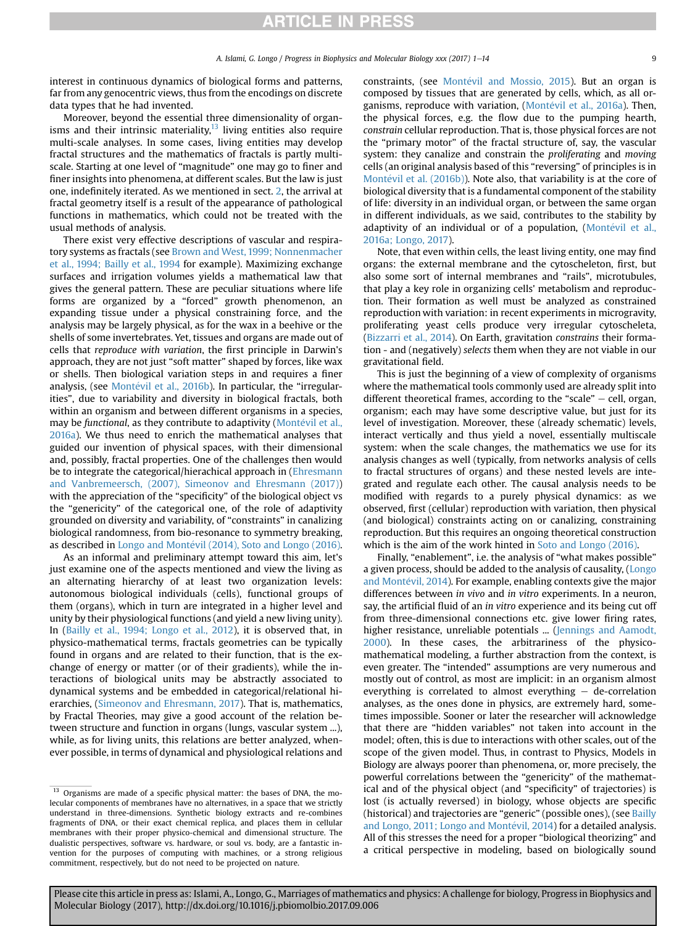interest in continuous dynamics of biological forms and patterns, far from any genocentric views, thus from the encodings on discrete data types that he had invented.

Moreover, beyond the essential three dimensionality of organisms and their intrinsic materiality, $13$  living entities also require multi-scale analyses. In some cases, living entities may develop fractal structures and the mathematics of fractals is partly multiscale. Starting at one level of "magnitude" one may go to finer and finer insights into phenomena, at different scales. But the law is just one, indefinitely iterated. As we mentioned in sect. [2](#page-3-0), the arrival at fractal geometry itself is a result of the appearance of pathological functions in mathematics, which could not be treated with the usual methods of analysis.

There exist very effective descriptions of vascular and respiratory systems as fractals (see [Brown and West, 1999; Nonnenmacher](#page-12-0) [et al., 1994; Bailly et al., 1994](#page-12-0) for example). Maximizing exchange surfaces and irrigation volumes yields a mathematical law that gives the general pattern. These are peculiar situations where life forms are organized by a "forced" growth phenomenon, an expanding tissue under a physical constraining force, and the analysis may be largely physical, as for the wax in a beehive or the shells of some invertebrates. Yet, tissues and organs are made out of cells that reproduce with variation, the first principle in Darwin's approach, they are not just "soft matter" shaped by forces, like wax or shells. Then biological variation steps in and requires a finer analysis, (see Montévil et al., 2016b). In particular, the "irregularities", due to variability and diversity in biological fractals, both within an organism and between different organisms in a species, may be functional, as they contribute to adaptivity [\(Mont](#page-12-0)é[vil et al.,](#page-12-0) [2016a\)](#page-12-0). We thus need to enrich the mathematical analyses that guided our invention of physical spaces, with their dimensional and, possibly, fractal properties. One of the challenges then would be to integrate the categorical/hierachical approach in ([Ehresmann](#page-12-0) [and Vanbremeersch, \(2007\), Simeonov and Ehresmann \(2017\)\)](#page-12-0) with the appreciation of the "specificity" of the biological object vs the "genericity" of the categorical one, of the role of adaptivity grounded on diversity and variability, of "constraints" in canalizing biological randomness, from bio-resonance to symmetry breaking, as described in Longo and Montévil (2014), Soto and Longo (2016).

As an informal and preliminary attempt toward this aim, let's just examine one of the aspects mentioned and view the living as an alternating hierarchy of at least two organization levels: autonomous biological individuals (cells), functional groups of them (organs), which in turn are integrated in a higher level and unity by their physiological functions (and yield a new living unity). In ([Bailly et al., 1994; Longo et al., 2012](#page-12-0)), it is observed that, in physico-mathematical terms, fractals geometries can be typically found in organs and are related to their function, that is the exchange of energy or matter (or of their gradients), while the interactions of biological units may be abstractly associated to dynamical systems and be embedded in categorical/relational hierarchies, [\(Simeonov and Ehresmann, 2017\)](#page-13-0). That is, mathematics, by Fractal Theories, may give a good account of the relation between structure and function in organs (lungs, vascular system ...), while, as for living units, this relations are better analyzed, whenever possible, in terms of dynamical and physiological relations and constraints, (see [Mont](#page-12-0)é[vil and Mossio, 2015](#page-12-0)). But an organ is composed by tissues that are generated by cells, which, as all organisms, reproduce with variation, (Montévil et al., 2016a). Then, the physical forces, e.g. the flow due to the pumping hearth, constrain cellular reproduction. That is, those physical forces are not the "primary motor" of the fractal structure of, say, the vascular system: they canalize and constrain the proliferating and moving cells (an original analysis based of this "reversing" of principles is in Montévil et al. (2016b)). Note also, that variability is at the core of biological diversity that is a fundamental component of the stability of life: diversity in an individual organ, or between the same organ in different individuals, as we said, contributes to the stability by adaptivity of an individual or of a population, (Montévil et al., [2016a; Longo, 2017](#page-12-0)).

Note, that even within cells, the least living entity, one may find organs: the external membrane and the cytoscheleton, first, but also some sort of internal membranes and "rails", microtubules, that play a key role in organizing cells' metabolism and reproduction. Their formation as well must be analyzed as constrained reproduction with variation: in recent experiments in microgravity, proliferating yeast cells produce very irregular cytoscheleta, ([Bizzarri et al., 2014](#page-12-0)). On Earth, gravitation constrains their formation - and (negatively) selects them when they are not viable in our gravitational field.

This is just the beginning of a view of complexity of organisms where the mathematical tools commonly used are already split into different theoretical frames, according to the "scale"  $-$  cell, organ, organism; each may have some descriptive value, but just for its level of investigation. Moreover, these (already schematic) levels, interact vertically and thus yield a novel, essentially multiscale system: when the scale changes, the mathematics we use for its analysis changes as well (typically, from networks analysis of cells to fractal structures of organs) and these nested levels are integrated and regulate each other. The causal analysis needs to be modified with regards to a purely physical dynamics: as we observed, first (cellular) reproduction with variation, then physical (and biological) constraints acting on or canalizing, constraining reproduction. But this requires an ongoing theoretical construction which is the aim of the work hinted in [Soto and Longo \(2016\)](#page-13-0).

Finally, "enablement", i.e. the analysis of "what makes possible" a given process, should be added to the analysis of causality, ([Longo](#page-12-0) and Montévil, 2014). For example, enabling contexts give the major differences between in vivo and in vitro experiments. In a neuron, say, the artificial fluid of an in vitro experience and its being cut off from three-dimensional connections etc. give lower firing rates, higher resistance, unreliable potentials ... [\(Jennings and Aamodt,](#page-12-0) [2000\)](#page-12-0). In these cases, the arbitrariness of the physicomathematical modeling, a further abstraction from the context, is even greater. The "intended" assumptions are very numerous and mostly out of control, as most are implicit: in an organism almost everything is correlated to almost everything  $-$  de-correlation analyses, as the ones done in physics, are extremely hard, sometimes impossible. Sooner or later the researcher will acknowledge that there are "hidden variables" not taken into account in the model; often, this is due to interactions with other scales, out of the scope of the given model. Thus, in contrast to Physics, Models in Biology are always poorer than phenomena, or, more precisely, the powerful correlations between the "genericity" of the mathematical and of the physical object (and "specificity" of trajectories) is lost (is actually reversed) in biology, whose objects are specific (historical) and trajectories are "generic" (possible ones), (see [Bailly](#page-12-0) and Longo, 2011; Longo and Montévil, 2014) for a detailed analysis. All of this stresses the need for a proper "biological theorizing" and a critical perspective in modeling, based on biologically sound

<sup>&</sup>lt;sup>13</sup> Organisms are made of a specific physical matter: the bases of DNA, the molecular components of membranes have no alternatives, in a space that we strictly understand in three-dimensions. Synthetic biology extracts and re-combines fragments of DNA, or their exact chemical replica, and places them in cellular membranes with their proper physico-chemical and dimensional structure. The dualistic perspectives, software vs. hardware, or soul vs. body, are a fantastic invention for the purposes of computing with machines, or a strong religious commitment, respectively, but do not need to be projected on nature.

Please cite this article in press as: Islami, A., Longo, G., Marriages of mathematics and physics: A challenge for biology, Progress in Biophysics and Molecular Biology (2017), http://dx.doi.org/10.1016/j.pbiomolbio.2017.09.006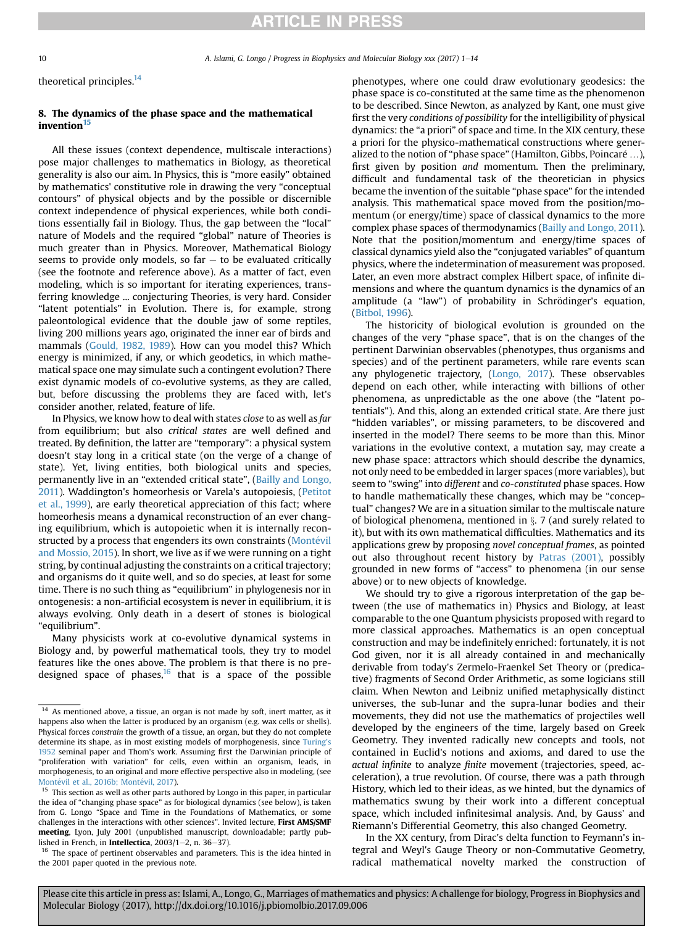10 A. Islami, G. Longo / Progress in Biophysics and Molecular Biology xxx (2017) 1-14

theoretical principles.<sup>14</sup>

# 8. The dynamics of the phase space and the mathematical invention<sup>15</sup>

All these issues (context dependence, multiscale interactions) pose major challenges to mathematics in Biology, as theoretical generality is also our aim. In Physics, this is "more easily" obtained by mathematics' constitutive role in drawing the very "conceptual contours" of physical objects and by the possible or discernible context independence of physical experiences, while both conditions essentially fail in Biology. Thus, the gap between the "local" nature of Models and the required "global" nature of Theories is much greater than in Physics. Moreover, Mathematical Biology seems to provide only models, so far  $-$  to be evaluated critically (see the footnote and reference above). As a matter of fact, even modeling, which is so important for iterating experiences, transferring knowledge ... conjecturing Theories, is very hard. Consider "latent potentials" in Evolution. There is, for example, strong paleontological evidence that the double jaw of some reptiles, living 200 millions years ago, originated the inner ear of birds and mammals ([Gould, 1982, 1989\)](#page-12-0). How can you model this? Which energy is minimized, if any, or which geodetics, in which mathematical space one may simulate such a contingent evolution? There exist dynamic models of co-evolutive systems, as they are called, but, before discussing the problems they are faced with, let's consider another, related, feature of life.

In Physics, we know how to deal with states close to as well as far from equilibrium; but also critical states are well defined and treated. By definition, the latter are "temporary": a physical system doesn't stay long in a critical state (on the verge of a change of state). Yet, living entities, both biological units and species, permanently live in an "extended critical state", ([Bailly and Longo,](#page-12-0) [2011\)](#page-12-0). Waddington's homeorhesis or Varela's autopoiesis, ([Petitot](#page-12-0) [et al., 1999](#page-12-0)), are early theoretical appreciation of this fact; where homeorhesis means a dynamical reconstruction of an ever changing equilibrium, which is autopoietic when it is internally recon-structed by a process that engenders its own constraints ([Mont](#page-12-0)é[vil](#page-12-0) [and Mossio, 2015](#page-12-0)). In short, we live as if we were running on a tight string, by continual adjusting the constraints on a critical trajectory; and organisms do it quite well, and so do species, at least for some time. There is no such thing as "equilibrium" in phylogenesis nor in ontogenesis: a non-artificial ecosystem is never in equilibrium, it is always evolving. Only death in a desert of stones is biological "equilibrium".

Many physicists work at co-evolutive dynamical systems in Biology and, by powerful mathematical tools, they try to model features like the ones above. The problem is that there is no predesigned space of phases, $16$  that is a space of the possible

<sup>16</sup> The space of pertinent observables and parameters. This is the idea hinted in the 2001 paper quoted in the previous note.

phenotypes, where one could draw evolutionary geodesics: the phase space is co-constituted at the same time as the phenomenon to be described. Since Newton, as analyzed by Kant, one must give first the very conditions of possibility for the intelligibility of physical dynamics: the "a priori" of space and time. In the XIX century, these a priori for the physico-mathematical constructions where generalized to the notion of "phase space" (Hamilton, Gibbs, Poincaré ...), first given by position and momentum. Then the preliminary, difficult and fundamental task of the theoretician in physics became the invention of the suitable "phase space" for the intended analysis. This mathematical space moved from the position/momentum (or energy/time) space of classical dynamics to the more complex phase spaces of thermodynamics ([Bailly and Longo, 2011\)](#page-12-0). Note that the position/momentum and energy/time spaces of classical dynamics yield also the "conjugated variables" of quantum physics, where the indetermination of measurement was proposed. Later, an even more abstract complex Hilbert space, of infinite dimensions and where the quantum dynamics is the dynamics of an amplitude (a "law") of probability in Schrödinger's equation, ([Bitbol, 1996](#page-12-0)).

The historicity of biological evolution is grounded on the changes of the very "phase space", that is on the changes of the pertinent Darwinian observables (phenotypes, thus organisms and species) and of the pertinent parameters, while rare events scan any phylogenetic trajectory, ([Longo, 2017](#page-12-0)). These observables depend on each other, while interacting with billions of other phenomena, as unpredictable as the one above (the "latent potentials"). And this, along an extended critical state. Are there just "hidden variables", or missing parameters, to be discovered and inserted in the model? There seems to be more than this. Minor variations in the evolutive context, a mutation say, may create a new phase space: attractors which should describe the dynamics, not only need to be embedded in larger spaces (more variables), but seem to "swing" into different and co-constituted phase spaces. How to handle mathematically these changes, which may be "conceptual" changes? We are in a situation similar to the multiscale nature of biological phenomena, mentioned in  $\S$ . 7 (and surely related to it), but with its own mathematical difficulties. Mathematics and its applications grew by proposing novel conceptual frames, as pointed out also throughout recent history by [Patras \(2001\)](#page-12-0), possibly grounded in new forms of "access" to phenomena (in our sense above) or to new objects of knowledge.

We should try to give a rigorous interpretation of the gap between (the use of mathematics in) Physics and Biology, at least comparable to the one Quantum physicists proposed with regard to more classical approaches. Mathematics is an open conceptual construction and may be indefinitely enriched: fortunately, it is not God given, nor it is all already contained in and mechanically derivable from today's Zermelo-Fraenkel Set Theory or (predicative) fragments of Second Order Arithmetic, as some logicians still claim. When Newton and Leibniz unified metaphysically distinct universes, the sub-lunar and the supra-lunar bodies and their movements, they did not use the mathematics of projectiles well developed by the engineers of the time, largely based on Greek Geometry. They invented radically new concepts and tools, not contained in Euclid's notions and axioms, and dared to use the actual infinite to analyze finite movement (trajectories, speed, acceleration), a true revolution. Of course, there was a path through History, which led to their ideas, as we hinted, but the dynamics of mathematics swung by their work into a different conceptual space, which included infinitesimal analysis. And, by Gauss' and Riemann's Differential Geometry, this also changed Geometry.

In the XX century, from Dirac's delta function to Feymann's integral and Weyl's Gauge Theory or non-Commutative Geometry, radical mathematical novelty marked the construction of

 $14$  As mentioned above, a tissue, an organ is not made by soft, inert matter, as it happens also when the latter is produced by an organism (e.g. wax cells or shells). Physical forces constrain the growth of a tissue, an organ, but they do not complete determine its shape, as in most existing models of morphogenesis, since [Turing](#page-13-0)'s [1952](#page-13-0) seminal paper and Thom's work. Assuming first the Darwinian principle of "proliferation with variation" for cells, even within an organism, leads, in morphogenesis, to an original and more effective perspective also in modeling, (see [Mont](#page-12-0)évil et al., 2016b: Montévil, 2017).

<sup>&</sup>lt;sup>15</sup> This section as well as other parts authored by Longo in this paper, in particular the idea of "changing phase space" as for biological dynamics (see below), is taken from G. Longo "Space and Time in the Foundations of Mathematics, or some challenges in the interactions with other sciences". Invited lecture, First AMS/SMF meeting, Lyon, July 2001 (unpublished manuscript, downloadable; partly published in French, in Intellectica,  $2003/1-2$ , n. 36-37).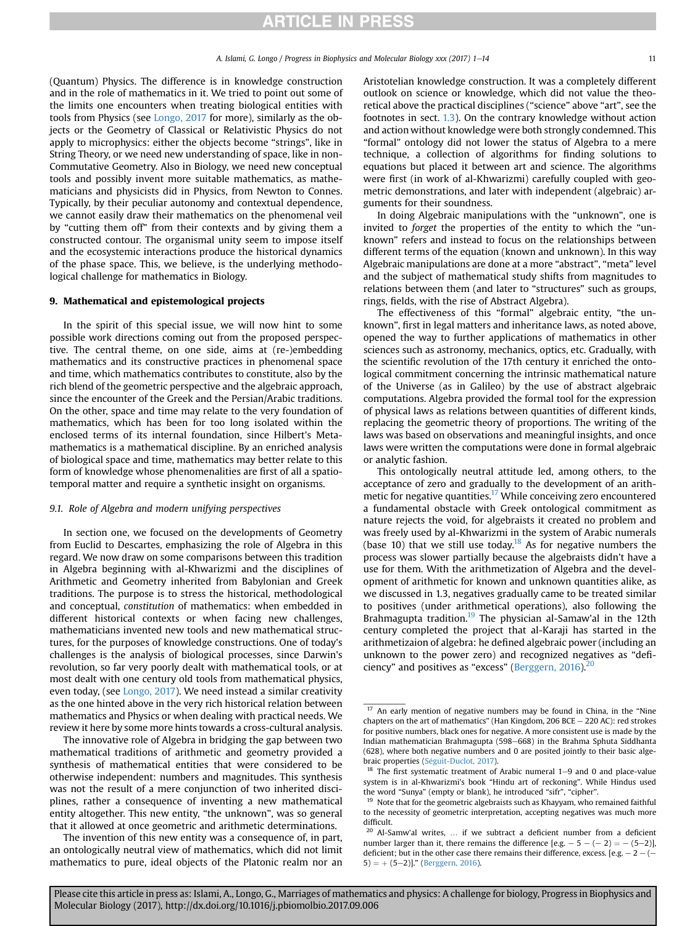(Quantum) Physics. The difference is in knowledge construction and in the role of mathematics in it. We tried to point out some of the limits one encounters when treating biological entities with tools from Physics (see [Longo, 2017](#page-12-0) for more), similarly as the objects or the Geometry of Classical or Relativistic Physics do not apply to microphysics: either the objects become "strings", like in String Theory, or we need new understanding of space, like in non-Commutative Geometry. Also in Biology, we need new conceptual tools and possibly invent more suitable mathematics, as mathematicians and physicists did in Physics, from Newton to Connes. Typically, by their peculiar autonomy and contextual dependence, we cannot easily draw their mathematics on the phenomenal veil by "cutting them off" from their contexts and by giving them a constructed contour. The organismal unity seem to impose itself and the ecosystemic interactions produce the historical dynamics of the phase space. This, we believe, is the underlying methodological challenge for mathematics in Biology.

### 9. Mathematical and epistemological projects

In the spirit of this special issue, we will now hint to some possible work directions coming out from the proposed perspective. The central theme, on one side, aims at (re-)embedding mathematics and its constructive practices in phenomenal space and time, which mathematics contributes to constitute, also by the rich blend of the geometric perspective and the algebraic approach, since the encounter of the Greek and the Persian/Arabic traditions. On the other, space and time may relate to the very foundation of mathematics, which has been for too long isolated within the enclosed terms of its internal foundation, since Hilbert's Metamathematics is a mathematical discipline. By an enriched analysis of biological space and time, mathematics may better relate to this form of knowledge whose phenomenalities are first of all a spatiotemporal matter and require a synthetic insight on organisms.

#### 9.1. Role of Algebra and modern unifying perspectives

In section one, we focused on the developments of Geometry from Euclid to Descartes, emphasizing the role of Algebra in this regard. We now draw on some comparisons between this tradition in Algebra beginning with al-Khwarizmi and the disciplines of Arithmetic and Geometry inherited from Babylonian and Greek traditions. The purpose is to stress the historical, methodological and conceptual, constitution of mathematics: when embedded in different historical contexts or when facing new challenges, mathematicians invented new tools and new mathematical structures, for the purposes of knowledge constructions. One of today's challenges is the analysis of biological processes, since Darwin's revolution, so far very poorly dealt with mathematical tools, or at most dealt with one century old tools from mathematical physics, even today, (see [Longo, 2017](#page-12-0)). We need instead a similar creativity as the one hinted above in the very rich historical relation between mathematics and Physics or when dealing with practical needs. We review it here by some more hints towards a cross-cultural analysis.

The innovative role of Algebra in bridging the gap between two mathematical traditions of arithmetic and geometry provided a synthesis of mathematical entities that were considered to be otherwise independent: numbers and magnitudes. This synthesis was not the result of a mere conjunction of two inherited disciplines, rather a consequence of inventing a new mathematical entity altogether. This new entity, "the unknown", was so general that it allowed at once geometric and arithmetic determinations.

The invention of this new entity was a consequence of, in part, an ontologically neutral view of mathematics, which did not limit mathematics to pure, ideal objects of the Platonic realm nor an Aristotelian knowledge construction. It was a completely different outlook on science or knowledge, which did not value the theoretical above the practical disciplines ("science" above "art", see the footnotes in sect. [1.3](#page-2-0)). On the contrary knowledge without action and action without knowledge were both strongly condemned. This "formal" ontology did not lower the status of Algebra to a mere technique, a collection of algorithms for finding solutions to equations but placed it between art and science. The algorithms were first (in work of al-Khwarizmi) carefully coupled with geometric demonstrations, and later with independent (algebraic) arguments for their soundness.

In doing Algebraic manipulations with the "unknown", one is invited to forget the properties of the entity to which the "unknown" refers and instead to focus on the relationships between different terms of the equation (known and unknown). In this way Algebraic manipulations are done at a more "abstract", "meta" level and the subject of mathematical study shifts from magnitudes to relations between them (and later to "structures" such as groups, rings, fields, with the rise of Abstract Algebra).

The effectiveness of this "formal" algebraic entity, "the unknown", first in legal matters and inheritance laws, as noted above, opened the way to further applications of mathematics in other sciences such as astronomy, mechanics, optics, etc. Gradually, with the scientific revolution of the 17th century it enriched the ontological commitment concerning the intrinsic mathematical nature of the Universe (as in Galileo) by the use of abstract algebraic computations. Algebra provided the formal tool for the expression of physical laws as relations between quantities of different kinds, replacing the geometric theory of proportions. The writing of the laws was based on observations and meaningful insights, and once laws were written the computations were done in formal algebraic or analytic fashion.

This ontologically neutral attitude led, among others, to the acceptance of zero and gradually to the development of an arithmetic for negative quantities.<sup>17</sup> While conceiving zero encountered a fundamental obstacle with Greek ontological commitment as nature rejects the void, for algebraists it created no problem and was freely used by al-Khwarizmi in the system of Arabic numerals (base 10) that we still use today.<sup>18</sup> As for negative numbers the process was slower partially because the algebraists didn't have a use for them. With the arithmetization of Algebra and the development of arithmetic for known and unknown quantities alike, as we discussed in 1.3, negatives gradually came to be treated similar to positives (under arithmetical operations), also following the Brahmagupta tradition.<sup>19</sup> The physician al-Samaw'al in the 12th century completed the project that al-Karaji has started in the arithmetizaion of algebra: he defined algebraic power (including an unknown to the power zero) and recognized negatives as "defi-ciency" and positives as "excess" ([Berggern, 2016](#page-12-0)). $^{20}$ 

 $17$  An early mention of negative numbers may be found in China, in the "Nine chapters on the art of mathematics" (Han Kingdom, 206 BCE  $-$  220 AC): red strokes for positive numbers, black ones for negative. A more consistent use is made by the Indian mathematician Brahmagupta (598-668) in the Brahma Sphuta Siddhanta (628), where both negative numbers and 0 are posited jointly to their basic algebraic properties (Séguit-Duclot, 2017).

The first systematic treatment of Arabic numeral  $1-9$  and 0 and place-value system is in al-Khwarizmi's book "Hindu art of reckoning". While Hindus used the word "Sunya" (empty or blank), he introduced "sifr", "cipher".

<sup>&</sup>lt;sup>19</sup> Note that for the geometric algebraists such as Khayyam, who remained faithful to the necessity of geometric interpretation, accepting negatives was much more difficult.

 $20$  Al-Samw'al writes, ... if we subtract a deficient number from a deficient number larger than it, there remains the difference  $[e.g. - 5 - (-2) = -(5-2)]$ , deficient; but in the other case there remains their difference, excess. [e.g.  $- 2 - (-1)^2$  $(5) = + (5-2)$ ]." [\(Berggern, 2016\)](#page-12-0).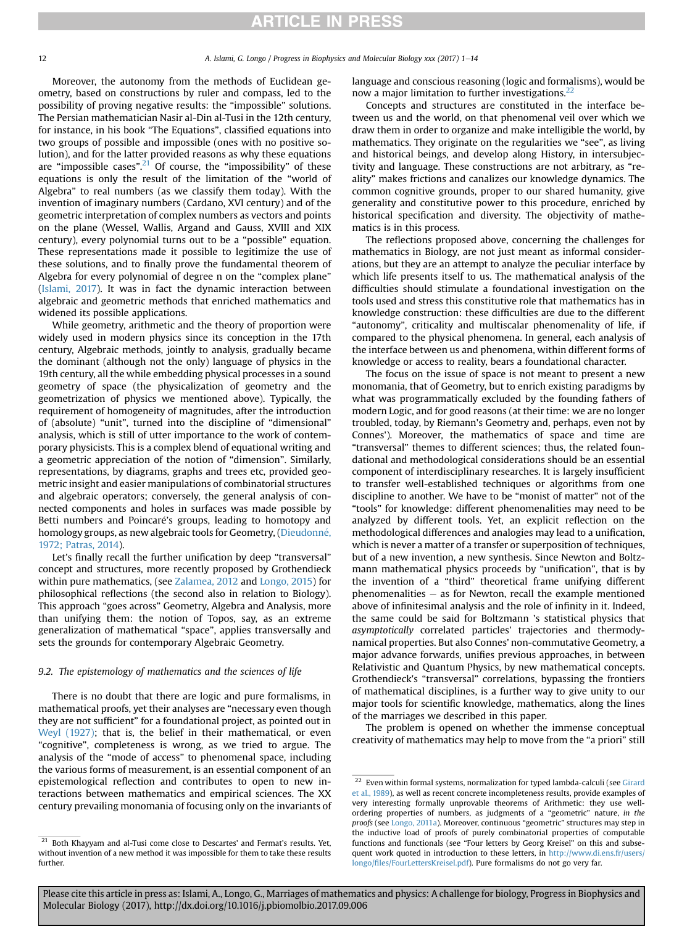Moreover, the autonomy from the methods of Euclidean geometry, based on constructions by ruler and compass, led to the possibility of proving negative results: the "impossible" solutions. The Persian mathematician Nasir al-Din al-Tusi in the 12th century, for instance, in his book "The Equations", classified equations into two groups of possible and impossible (ones with no positive solution), and for the latter provided reasons as why these equations are "impossible cases".<sup>21</sup> Of course, the "impossibility" of these equations is only the result of the limitation of the "world of Algebra" to real numbers (as we classify them today). With the invention of imaginary numbers (Cardano, XVI century) and of the geometric interpretation of complex numbers as vectors and points on the plane (Wessel, Wallis, Argand and Gauss, XVIII and XIX century), every polynomial turns out to be a "possible" equation. These representations made it possible to legitimize the use of these solutions, and to finally prove the fundamental theorem of Algebra for every polynomial of degree n on the "complex plane" ([Islami, 2017\)](#page-12-0). It was in fact the dynamic interaction between algebraic and geometric methods that enriched mathematics and widened its possible applications.

While geometry, arithmetic and the theory of proportion were widely used in modern physics since its conception in the 17th century, Algebraic methods, jointly to analysis, gradually became the dominant (although not the only) language of physics in the 19th century, all the while embedding physical processes in a sound geometry of space (the physicalization of geometry and the geometrization of physics we mentioned above). Typically, the requirement of homogeneity of magnitudes, after the introduction of (absolute) "unit", turned into the discipline of "dimensional" analysis, which is still of utter importance to the work of contemporary physicists. This is a complex blend of equational writing and a geometric appreciation of the notion of "dimension". Similarly, representations, by diagrams, graphs and trees etc, provided geometric insight and easier manipulations of combinatorial structures and algebraic operators; conversely, the general analysis of connected components and holes in surfaces was made possible by Betti numbers and Poincaré's groups, leading to homotopy and homology groups, as new algebraic tools for Geometry, (Dieudonné, [1972; Patras, 2014\)](#page-12-0).

Let's finally recall the further unification by deep "transversal" concept and structures, more recently proposed by Grothendieck within pure mathematics, (see [Zalamea, 2012](#page-13-0) and [Longo, 2015\)](#page-12-0) for philosophical reflections (the second also in relation to Biology). This approach "goes across" Geometry, Algebra and Analysis, more than unifying them: the notion of Topos, say, as an extreme generalization of mathematical "space", applies transversally and sets the grounds for contemporary Algebraic Geometry.

### 9.2. The epistemology of mathematics and the sciences of life

There is no doubt that there are logic and pure formalisms, in mathematical proofs, yet their analyses are "necessary even though they are not sufficient" for a foundational project, as pointed out in [Weyl \(1927\);](#page-13-0) that is, the belief in their mathematical, or even "cognitive", completeness is wrong, as we tried to argue. The analysis of the "mode of access" to phenomenal space, including the various forms of measurement, is an essential component of an epistemological reflection and contributes to open to new interactions between mathematics and empirical sciences. The XX century prevailing monomania of focusing only on the invariants of language and conscious reasoning (logic and formalisms), would be now a major limitation to further investigations.<sup>22</sup>

Concepts and structures are constituted in the interface between us and the world, on that phenomenal veil over which we draw them in order to organize and make intelligible the world, by mathematics. They originate on the regularities we "see", as living and historical beings, and develop along History, in intersubjectivity and language. These constructions are not arbitrary, as "reality" makes frictions and canalizes our knowledge dynamics. The common cognitive grounds, proper to our shared humanity, give generality and constitutive power to this procedure, enriched by historical specification and diversity. The objectivity of mathematics is in this process.

The reflections proposed above, concerning the challenges for mathematics in Biology, are not just meant as informal considerations, but they are an attempt to analyze the peculiar interface by which life presents itself to us. The mathematical analysis of the difficulties should stimulate a foundational investigation on the tools used and stress this constitutive role that mathematics has in knowledge construction: these difficulties are due to the different "autonomy", criticality and multiscalar phenomenality of life, if compared to the physical phenomena. In general, each analysis of the interface between us and phenomena, within different forms of knowledge or access to reality, bears a foundational character.

The focus on the issue of space is not meant to present a new monomania, that of Geometry, but to enrich existing paradigms by what was programmatically excluded by the founding fathers of modern Logic, and for good reasons (at their time: we are no longer troubled, today, by Riemann's Geometry and, perhaps, even not by Connes'). Moreover, the mathematics of space and time are "transversal" themes to different sciences; thus, the related foundational and methodological considerations should be an essential component of interdisciplinary researches. It is largely insufficient to transfer well-established techniques or algorithms from one discipline to another. We have to be "monist of matter" not of the "tools" for knowledge: different phenomenalities may need to be analyzed by different tools. Yet, an explicit reflection on the methodological differences and analogies may lead to a unification, which is never a matter of a transfer or superposition of techniques, but of a new invention, a new synthesis. Since Newton and Boltzmann mathematical physics proceeds by "unification", that is by the invention of a "third" theoretical frame unifying different phenomenalities  $-$  as for Newton, recall the example mentioned above of infinitesimal analysis and the role of infinity in it. Indeed, the same could be said for Boltzmann 's statistical physics that asymptotically correlated particles' trajectories and thermodynamical properties. But also Connes' non-commutative Geometry, a major advance forwards, unifies previous approaches, in between Relativistic and Quantum Physics, by new mathematical concepts. Grothendieck's "transversal" correlations, bypassing the frontiers of mathematical disciplines, is a further way to give unity to our major tools for scientific knowledge, mathematics, along the lines of the marriages we described in this paper.

The problem is opened on whether the immense conceptual creativity of mathematics may help to move from the "a priori" still

<sup>&</sup>lt;sup>21</sup> Both Khayyam and al-Tusi come close to Descartes' and Fermat's results. Yet, without invention of a new method it was impossible for them to take these results further.

 $^{22}\,$  Even within formal systems, normalization for typed lambda-calculi (see [Girard](#page-12-0) [et al., 1989\)](#page-12-0), as well as recent concrete incompleteness results, provide examples of very interesting formally unprovable theorems of Arithmetic: they use wellordering properties of numbers, as judgments of a "geometric" nature, in the proofs (see [Longo, 2011a\)](#page-12-0). Moreover, continuous "geometric" structures may step in the inductive load of proofs of purely combinatorial properties of computable functions and functionals (see "Four letters by Georg Kreisel" on this and subsequent work quoted in introduction to these letters, in [http://www.di.ens.fr/users/](http://www.di.ens.fr/users/longo/files/FourLettersKreisel.pdf) longo/fi[les/FourLettersKreisel.pdf\)](http://www.di.ens.fr/users/longo/files/FourLettersKreisel.pdf). Pure formalisms do not go very far.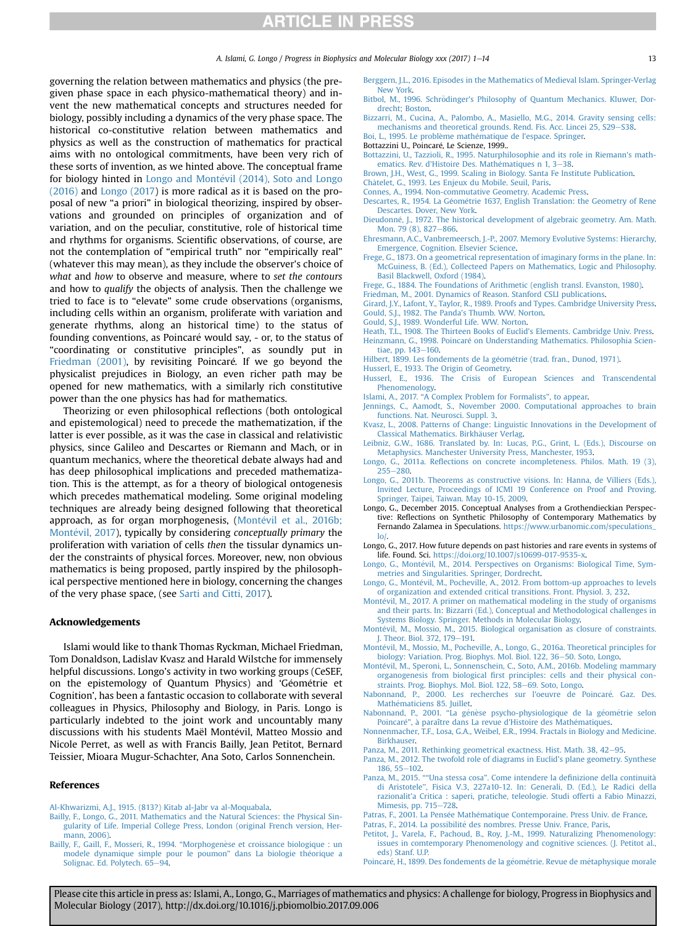<span id="page-12-0"></span>governing the relation between mathematics and physics (the pregiven phase space in each physico-mathematical theory) and invent the new mathematical concepts and structures needed for biology, possibly including a dynamics of the very phase space. The historical co-constitutive relation between mathematics and physics as well as the construction of mathematics for practical aims with no ontological commitments, have been very rich of these sorts of invention, as we hinted above. The conceptual frame for biology hinted in Longo and Montévil (2014), Soto and Longo (2016) and Longo (2017) is more radical as it is based on the proposal of new "a priori" in biological theorizing, inspired by observations and grounded on principles of organization and of variation, and on the peculiar, constitutive, role of historical time and rhythms for organisms. Scientific observations, of course, are not the contemplation of "empirical truth" nor "empirically real" (whatever this may mean), as they include the observer's choice of what and how to observe and measure, where to set the contours and how to qualify the objects of analysis. Then the challenge we tried to face is to "elevate" some crude observations (organisms, including cells within an organism, proliferate with variation and generate rhythms, along an historical time) to the status of founding conventions, as Poincaré would say, - or, to the status of "coordinating or constitutive principles", as soundly put in Friedman (2001), by revisiting Poincaré. If we go beyond the physicalist prejudices in Biology, an even richer path may be opened for new mathematics, with a similarly rich constitutive power than the one physics has had for mathematics.

Theorizing or even philosophical reflections (both ontological and epistemological) need to precede the mathematization, if the latter is ever possible, as it was the case in classical and relativistic physics, since Galileo and Descartes or Riemann and Mach, or in quantum mechanics, where the theoretical debate always had and has deep philosophical implications and preceded mathematization. This is the attempt, as for a theory of biological ontogenesis which precedes mathematical modeling. Some original modeling techniques are already being designed following that theoretical approach, as for organ morphogenesis, (Montévil et al., 2016b; Montévil, 2017), typically by considering conceptually primary the proliferation with variation of cells then the tissular dynamics under the constraints of physical forces. Moreover, new, non obvious mathematics is being proposed, partly inspired by the philosophical perspective mentioned here in biology, concerning the changes of the very phase space, (see [Sarti and Citti, 2017](#page-13-0)).

### Acknowledgements

Islami would like to thank Thomas Ryckman, Michael Friedman, Tom Donaldson, Ladislav Kvasz and Harald Wilstche for immensely helpful discussions. Longo's activity in two working groups (CeSEF, on the epistemology of Quantum Physics) and 'Géométrie et Cognition', has been a fantastic occasion to collaborate with several colleagues in Physics, Philosophy and Biology, in Paris. Longo is particularly indebted to the joint work and uncountably many discussions with his students Maël Montévil, Matteo Mossio and Nicole Perret, as well as with Francis Bailly, Jean Petitot, Bernard Teissier, Mioara Mugur-Schachter, Ana Soto, Carlos Sonnenchein.

#### References

[Al-Khwarizmi, A.J., 1915. \(813?\) Kitab al-Jabr va al-Moquabala.](http://refhub.elsevier.com/S0079-6107(17)30154-2/sref1)

- [Bailly, F., Longo, G., 2011. Mathematics and the Natural Sciences: the Physical Sin](http://refhub.elsevier.com/S0079-6107(17)30154-2/sref2)[gularity of Life. Imperial College Press, London \(original French version, Her](http://refhub.elsevier.com/S0079-6107(17)30154-2/sref2)[mann, 2006\).](http://refhub.elsevier.com/S0079-6107(17)30154-2/sref2)
- [Bailly, F., Gaill, F., Mosseri, R., 1994.](http://refhub.elsevier.com/S0079-6107(17)30154-2/sref3) "Morphogenèse et croissance biologique : un [modele dynamique simple pour le poumon](http://refhub.elsevier.com/S0079-6107(17)30154-2/sref3)" dans La biologie théorique a [Solignac. Ed. Polytech. 65](http://refhub.elsevier.com/S0079-6107(17)30154-2/sref3)-[94](http://refhub.elsevier.com/S0079-6107(17)30154-2/sref3).

[Berggern, J.L., 2016. Episodes in the Mathematics of Medieval Islam. Springer-Verlag](http://refhub.elsevier.com/S0079-6107(17)30154-2/sref4) [New York](http://refhub.elsevier.com/S0079-6107(17)30154-2/sref4).

Bitbol, M., 1996. Schrödinger's Philosophy of Quantum Mechanics. Kluwer, Dor[drecht; Boston](http://refhub.elsevier.com/S0079-6107(17)30154-2/sref5).

[Bizzarri, M., Cucina, A., Palombo, A., Masiello, M.G., 2014. Gravity sensing cells:](http://refhub.elsevier.com/S0079-6107(17)30154-2/sref6) [mechanisms and theoretical grounds. Rend. Fis. Acc. Lincei 25, S29](http://refhub.elsevier.com/S0079-6107(17)30154-2/sref6)-[S38.](http://refhub.elsevier.com/S0079-6107(17)30154-2/sref6)

[Boi, L., 1995. Le probl](http://refhub.elsevier.com/S0079-6107(17)30154-2/sref7)è[me math](http://refhub.elsevier.com/S0079-6107(17)30154-2/sref7)é[matique de l'espace. Springer](http://refhub.elsevier.com/S0079-6107(17)30154-2/sref7)

Bottazzini U., Poincaré, Le Scienze, 1999..

[Bottazzini, U., Tazzioli, R., 1995. Naturphilosophie and its role in Riemann's math-](http://refhub.elsevier.com/S0079-6107(17)30154-2/sref9)ematics. Rev. d'Histoire Des. Mathématiques n 1, 3-[38.](http://refhub.elsevier.com/S0079-6107(17)30154-2/sref9)

[Brown, J.H., West, G., 1999. Scaling in Biology. Santa Fe Institute Publication.](http://refhub.elsevier.com/S0079-6107(17)30154-2/sref10)

[Ch](http://refhub.elsevier.com/S0079-6107(17)30154-2/sref11)^ a[telet, G., 1993. Les Enjeux du Mobile. Seuil, Paris.](http://refhub.elsevier.com/S0079-6107(17)30154-2/sref11)

[Connes, A., 1994. Non-commutative Geometry. Academic Press.](http://refhub.elsevier.com/S0079-6107(17)30154-2/sref12)

- [Descartes, R., 1954. La G](http://refhub.elsevier.com/S0079-6107(17)30154-2/sref13)é[om](http://refhub.elsevier.com/S0079-6107(17)30154-2/sref13)é[trie 1637, English Translation: the Geometry of Rene](http://refhub.elsevier.com/S0079-6107(17)30154-2/sref13) [Descartes. Dover, New York](http://refhub.elsevier.com/S0079-6107(17)30154-2/sref13).
- [Dieudonn](http://refhub.elsevier.com/S0079-6107(17)30154-2/sref14)e[, J., 1972. The historical development of algebraic geometry. Am. Math.](http://refhub.elsevier.com/S0079-6107(17)30154-2/sref14) Mon. 79 $(8)$ , 827–[866.](http://refhub.elsevier.com/S0079-6107(17)30154-2/sref14)
- [Ehresmann, A.C., Vanbremeersch, J.-P., 2007. Memory Evolutive Systems: Hierarchy,](http://refhub.elsevier.com/S0079-6107(17)30154-2/sref15) [Emergence, Cognition. Elsevier Science](http://refhub.elsevier.com/S0079-6107(17)30154-2/sref15).

[Frege, G., 1873. On a geometrical representation of imaginary forms in the plane. In:](http://refhub.elsevier.com/S0079-6107(17)30154-2/sref16) [McGuiness, B. \(Ed.\), Collecteed Papers on Mathematics, Logic and Philosophy.](http://refhub.elsevier.com/S0079-6107(17)30154-2/sref16) [Basil Blackwell, Oxford \(1984\).](http://refhub.elsevier.com/S0079-6107(17)30154-2/sref16)

- [Frege, G., 1884. The Foundations of Arithmetic \(english transl. Evanston, 1980\)](http://refhub.elsevier.com/S0079-6107(17)30154-2/sref17).
- [Friedman, M., 2001. Dynamics of Reason. Stanford CSLI publications](http://refhub.elsevier.com/S0079-6107(17)30154-2/sref18).
- [Girard, J.Y., Lafont, Y., Taylor, R., 1989. Proofs and Types. Cambridge University Press](http://refhub.elsevier.com/S0079-6107(17)30154-2/sref19). [Gould, S.J., 1982. The Panda's Thumb. WW. Norton.](http://refhub.elsevier.com/S0079-6107(17)30154-2/sref20)
- [Gould, S.J., 1989. Wonderful Life. WW. Norton](http://refhub.elsevier.com/S0079-6107(17)30154-2/sref21).

[Heath, T.L., 1908. The Thirteen Books of Euclid's Elements. Cambridge Univ. Press.](http://refhub.elsevier.com/S0079-6107(17)30154-2/sref22) Heinzmann, G., 1998. Poincaré on Understanding Mathematics. Philosophia Scien[tiae, pp. 143](http://refhub.elsevier.com/S0079-6107(17)30154-2/sref23)-[160](http://refhub.elsevier.com/S0079-6107(17)30154-2/sref23).

- [Hilbert, 1899. Les fondements de la g](http://refhub.elsevier.com/S0079-6107(17)30154-2/sref24)é[om](http://refhub.elsevier.com/S0079-6107(17)30154-2/sref24)é[trie \(trad. fran., Dunod, 1971\)](http://refhub.elsevier.com/S0079-6107(17)30154-2/sref24).
- [Husserl, E., 1933. The Origin of Geometry](http://refhub.elsevier.com/S0079-6107(17)30154-2/sref25).
- [Husserl, E., 1936. The Crisis of European Sciences and Transcendental](http://refhub.elsevier.com/S0079-6107(17)30154-2/sref26) [Phenomenology](http://refhub.elsevier.com/S0079-6107(17)30154-2/sref26).
- Islami, A., 2017. "[A Complex Problem for Formalists](http://refhub.elsevier.com/S0079-6107(17)30154-2/sref27)", to appear.
- [Jennings, C., Aamodt, S., November 2000. Computational approaches to brain](http://refhub.elsevier.com/S0079-6107(17)30154-2/sref28) [functions. Nat. Neurosci. Suppl. 3.](http://refhub.elsevier.com/S0079-6107(17)30154-2/sref28)
- [Kvasz, L., 2008. Patterns of Change: Linguistic Innovations in the Development of](http://refhub.elsevier.com/S0079-6107(17)30154-2/sref29) [Classical Mathematics. Birkh](http://refhub.elsevier.com/S0079-6107(17)30154-2/sref29)ä[user Verlag](http://refhub.elsevier.com/S0079-6107(17)30154-2/sref29).
- [Leibniz, G.W., 1686. Translated by. In: Lucas, P.G., Grint, L. \(Eds.\), Discourse on](http://refhub.elsevier.com/S0079-6107(17)30154-2/sref30) [Metaphysics. Manchester University Press, Manchester, 1953.](http://refhub.elsevier.com/S0079-6107(17)30154-2/sref30)
- Longo, G., 2011a. Refl[ections on concrete incompleteness. Philos. Math. 19 \(3\),](http://refhub.elsevier.com/S0079-6107(17)30154-2/sref31) [255](http://refhub.elsevier.com/S0079-6107(17)30154-2/sref31)e[280](http://refhub.elsevier.com/S0079-6107(17)30154-2/sref31).
- [Longo, G., 2011b. Theorems as constructive visions. In: Hanna, de Villiers \(Eds.\),](http://refhub.elsevier.com/S0079-6107(17)30154-2/sref32) [Invited Lecture, Proceedings of ICMI 19 Conference on Proof and Proving.](http://refhub.elsevier.com/S0079-6107(17)30154-2/sref32) [Springer, Taipei, Taiwan. May 10-15, 2009.](http://refhub.elsevier.com/S0079-6107(17)30154-2/sref32)
- Longo, G., December 2015. Conceptual Analyses from a Grothendieckian Perspective: Reflections on Synthetic Philosophy of Contemporary Mathematics by Fernando Zalamea in Speculations. [https://www.urbanomic.com/speculations\\_](https://www.urbanomic.com/speculations_lo/) [lo/](https://www.urbanomic.com/speculations_lo/).
- Longo, G., 2017. How future depends on past histories and rare events in systems of life. Found. Sci. https://doi.org/10.1007/s10699-017-9535-x
- Longo, G., Montévil, M., 2014. Perspectives on Organisms: Biological Time, Sym[metries and Singularities. Springer, Dordrecht](http://refhub.elsevier.com/S0079-6107(17)30154-2/sref35).
- Longo, G., Montévil, M., Pocheville, A., 2012. From bottom-up approaches to levels [of organization and extended critical transitions. Front. Physiol. 3, 232](http://refhub.elsevier.com/S0079-6107(17)30154-2/sref36).
- [Montevil, M., 2017. A primer on mathematical modeling in the study of organisms](http://refhub.elsevier.com/S0079-6107(17)30154-2/sref37) [and their parts. In: Bizzarri \(Ed.\), Conceptual and Methodological challenges in](http://refhub.elsevier.com/S0079-6107(17)30154-2/sref37) [Systems Biology. Springer. Methods in Molecular Biology.](http://refhub.elsevier.com/S0079-6107(17)30154-2/sref37)
- [Montevil, M., Mossio, M., 2015. Biological organisation as closure of constraints.](http://refhub.elsevier.com/S0079-6107(17)30154-2/sref38) [J. Theor. Biol. 372, 179](http://refhub.elsevier.com/S0079-6107(17)30154-2/sref38)-[191.](http://refhub.elsevier.com/S0079-6107(17)30154-2/sref38)
- [Montevil, M., Mossio, M., Pocheville, A., Longo, G., 2016a. Theoretical principles for](http://refhub.elsevier.com/S0079-6107(17)30154-2/sref39) [biology: Variation. Prog. Biophys. Mol. Biol. 122, 36](http://refhub.elsevier.com/S0079-6107(17)30154-2/sref39)-[50. Soto, Longo.](http://refhub.elsevier.com/S0079-6107(17)30154-2/sref39)
- [Montevil, M., Speroni, L., Sonnenschein, C., Soto, A.M., 2016b. Modeling mammary](http://refhub.elsevier.com/S0079-6107(17)30154-2/sref40) organogenesis from biological fi[rst principles: cells and their physical con](http://refhub.elsevier.com/S0079-6107(17)30154-2/sref40)[straints. Prog. Biophys. Mol. Biol. 122, 58](http://refhub.elsevier.com/S0079-6107(17)30154-2/sref40)-[69. Soto, Longo.](http://refhub.elsevier.com/S0079-6107(17)30154-2/sref40)
- Nabonnand, P., 2000. Les recherches sur l'oeuvre de Poincaré. Gaz. Des. [Math](http://refhub.elsevier.com/S0079-6107(17)30154-2/sref41)é[maticiens 85. Juillet](http://refhub.elsevier.com/S0079-6107(17)30154-2/sref41).
- [Nabonnand, P., 2001.](http://refhub.elsevier.com/S0079-6107(17)30154-2/sref42) "La génè[se psycho-physiologique de la g](http://refhub.elsevier.com/S0079-6107(17)30154-2/sref42)é[om](http://refhub.elsevier.com/S0079-6107(17)30154-2/sref42)é[trie selon](http://refhub.elsevier.com/S0079-6107(17)30154-2/sref42) [Poincar](http://refhub.elsevier.com/S0079-6107(17)30154-2/sref42)é["](http://refhub.elsevier.com/S0079-6107(17)30154-2/sref42), à paraître dans La revue d'Histoire des Mathématiques.
- [Nonnenmacher, T.F., Losa, G.A., Weibel, E.R., 1994. Fractals in Biology and Medicine.](http://refhub.elsevier.com/S0079-6107(17)30154-2/sref43) [Birkhauser.](http://refhub.elsevier.com/S0079-6107(17)30154-2/sref43)
- [Panza, M., 2011. Rethinking geometrical exactness. Hist. Math. 38, 42](http://refhub.elsevier.com/S0079-6107(17)30154-2/sref44)-[95.](http://refhub.elsevier.com/S0079-6107(17)30154-2/sref44)
- [Panza, M., 2012. The twofold role of diagrams in Euclid's plane geometry. Synthese](http://refhub.elsevier.com/S0079-6107(17)30154-2/sref45) [186, 55](http://refhub.elsevier.com/S0079-6107(17)30154-2/sref45)-[102](http://refhub.elsevier.com/S0079-6107(17)30154-2/sref45).
- Panza, M., 2015. ""Una stessa cosa"[. Come intendere la de](http://refhub.elsevier.com/S0079-6107(17)30154-2/sref46)finizione della continuita di Aristotele''[, Fisica V.3, 227a10-12. In: Generali, D. \(Ed.\), Le Radici della](http://refhub.elsevier.com/S0079-6107(17)30154-2/sref46) [razionalit'a Critica : saperi, pratiche, teleologie. Studi offerti a Fabio Minazzi,](http://refhub.elsevier.com/S0079-6107(17)30154-2/sref46) [Mimesis, pp. 715](http://refhub.elsevier.com/S0079-6107(17)30154-2/sref46)-[728.](http://refhub.elsevier.com/S0079-6107(17)30154-2/sref46)
- [Patras, F., 2001. La Pens](http://refhub.elsevier.com/S0079-6107(17)30154-2/sref47)é[e Math](http://refhub.elsevier.com/S0079-6107(17)30154-2/sref47)é[matique Contemporaine. Press Univ. de France](http://refhub.elsevier.com/S0079-6107(17)30154-2/sref47).

[Patras, F., 2014. La possibilit](http://refhub.elsevier.com/S0079-6107(17)30154-2/sref48)é [des nombres. Presse Univ. France, Paris](http://refhub.elsevier.com/S0079-6107(17)30154-2/sref48).

- [Petitot, J., Varela, F., Pachoud, B., Roy, J.-M., 1999. Naturalizing Phenomenology:](http://refhub.elsevier.com/S0079-6107(17)30154-2/sref49) [issues in comtemporary Phenomenology and cognitive sciences. \(J. Petitot al.,](http://refhub.elsevier.com/S0079-6107(17)30154-2/sref49) [eds\) Stanf. U.P.](http://refhub.elsevier.com/S0079-6107(17)30154-2/sref49)
- [Poincar](http://refhub.elsevier.com/S0079-6107(17)30154-2/sref50)é[, H., 1899. Des fondements de la g](http://refhub.elsevier.com/S0079-6107(17)30154-2/sref50)éométrie. Revue de mé[taphysique morale](http://refhub.elsevier.com/S0079-6107(17)30154-2/sref50)